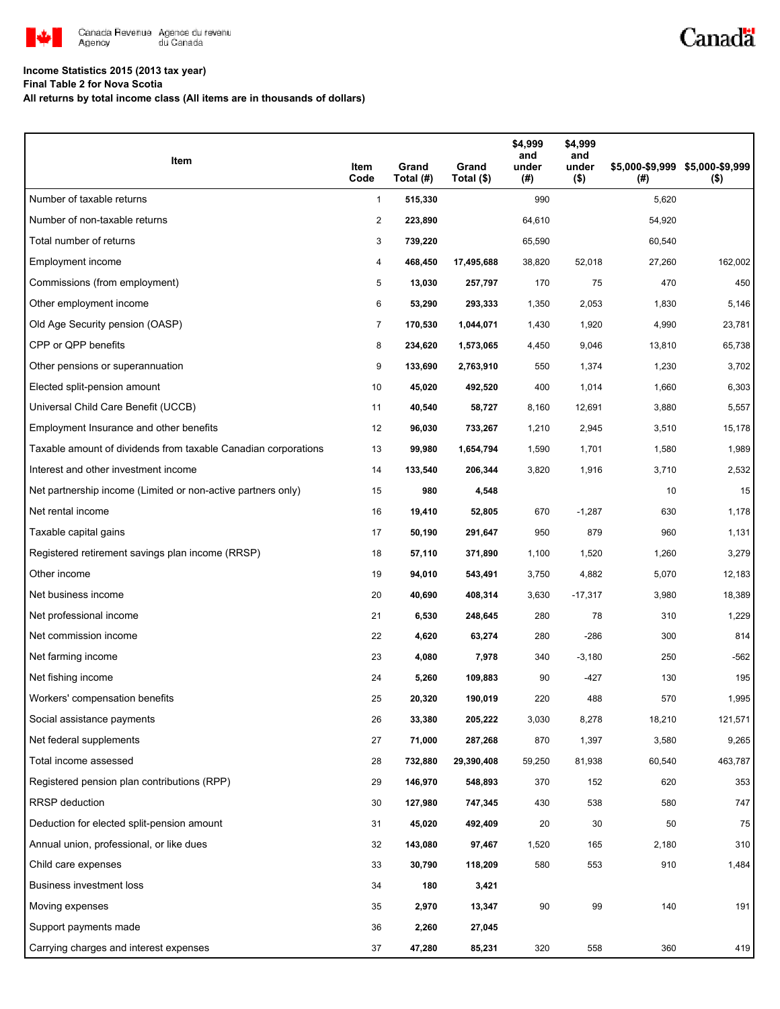

## Canadä

### **Income Statistics 2015 (2013 tax year)**

**Final Table 2 for Nova Scotia**

**All returns by total income class (All items are in thousands of dollars)**

| Item                                                           | Item<br>Code   | Grand<br>Total (#) | Grand<br>Total (\$) | \$4,999<br>and<br>under<br>(#) | \$4,999<br>and<br>under<br>$($ \$) | (#)    | \$5,000-\$9,999 \$5,000-\$9,999<br>$($ \$) |
|----------------------------------------------------------------|----------------|--------------------|---------------------|--------------------------------|------------------------------------|--------|--------------------------------------------|
| Number of taxable returns                                      | $\mathbf{1}$   | 515,330            |                     | 990                            |                                    | 5,620  |                                            |
| Number of non-taxable returns                                  | $\overline{2}$ | 223,890            |                     | 64,610                         |                                    | 54,920 |                                            |
| Total number of returns                                        | 3              | 739,220            |                     | 65,590                         |                                    | 60,540 |                                            |
| Employment income                                              | 4              | 468,450            | 17,495,688          | 38,820                         | 52,018                             | 27,260 | 162,002                                    |
| Commissions (from employment)                                  | 5              | 13,030             | 257,797             | 170                            | 75                                 | 470    | 450                                        |
| Other employment income                                        | 6              | 53,290             | 293,333             | 1,350                          | 2,053                              | 1,830  | 5,146                                      |
| Old Age Security pension (OASP)                                | 7              | 170,530            | 1,044,071           | 1,430                          | 1,920                              | 4,990  | 23,781                                     |
| CPP or QPP benefits                                            | 8              | 234,620            | 1,573,065           | 4,450                          | 9,046                              | 13,810 | 65,738                                     |
| Other pensions or superannuation                               | 9              | 133,690            | 2,763,910           | 550                            | 1,374                              | 1,230  | 3,702                                      |
| Elected split-pension amount                                   | 10             | 45,020             | 492,520             | 400                            | 1,014                              | 1,660  | 6,303                                      |
| Universal Child Care Benefit (UCCB)                            | 11             | 40,540             | 58,727              | 8,160                          | 12,691                             | 3,880  | 5,557                                      |
| Employment Insurance and other benefits                        | 12             | 96,030             | 733,267             | 1,210                          | 2,945                              | 3,510  | 15,178                                     |
| Taxable amount of dividends from taxable Canadian corporations | 13             | 99,980             | 1,654,794           | 1,590                          | 1,701                              | 1,580  | 1,989                                      |
| Interest and other investment income                           | 14             | 133,540            | 206,344             | 3,820                          | 1,916                              | 3,710  | 2,532                                      |
| Net partnership income (Limited or non-active partners only)   | 15             | 980                | 4,548               |                                |                                    | 10     | 15                                         |
| Net rental income                                              | 16             | 19,410             | 52,805              | 670                            | $-1,287$                           | 630    | 1,178                                      |
| Taxable capital gains                                          | 17             | 50,190             | 291,647             | 950                            | 879                                | 960    | 1,131                                      |
| Registered retirement savings plan income (RRSP)               | 18             | 57,110             | 371,890             | 1,100                          | 1,520                              | 1,260  | 3,279                                      |
| Other income                                                   | 19             | 94,010             | 543,491             | 3,750                          | 4,882                              | 5,070  | 12,183                                     |
| Net business income                                            | 20             | 40,690             | 408,314             | 3,630                          | $-17,317$                          | 3,980  | 18,389                                     |
| Net professional income                                        | 21             | 6,530              | 248,645             | 280                            | 78                                 | 310    | 1,229                                      |
| Net commission income                                          | 22             | 4,620              | 63,274              | 280                            | $-286$                             | 300    | 814                                        |
| Net farming income                                             | 23             | 4,080              | 7,978               | 340                            | $-3,180$                           | 250    | $-562$                                     |
| Net fishing income                                             | 24             | 5,260              | 109,883             | 90                             | -427                               | 130    | 195                                        |
| Workers' compensation benefits                                 | 25             | 20,320             | 190,019             | 220                            | 488                                | 570    | 1,995                                      |
| Social assistance payments                                     | 26             | 33,380             | 205,222             | 3,030                          | 8,278                              | 18,210 | 121,571                                    |
| Net federal supplements                                        | 27             | 71,000             | 287,268             | 870                            | 1,397                              | 3,580  | 9,265                                      |
| Total income assessed                                          | 28             | 732,880            | 29,390,408          | 59,250                         | 81,938                             | 60,540 | 463,787                                    |
| Registered pension plan contributions (RPP)                    | 29             | 146,970            | 548,893             | 370                            | 152                                | 620    | 353                                        |
| RRSP deduction                                                 | 30             | 127,980            | 747,345             | 430                            | 538                                | 580    | 747                                        |
| Deduction for elected split-pension amount                     | 31             | 45,020             | 492,409             | 20                             | 30                                 | 50     | 75                                         |
| Annual union, professional, or like dues                       | 32             | 143,080            | 97,467              | 1,520                          | 165                                | 2,180  | 310                                        |
| Child care expenses                                            | 33             | 30,790             | 118,209             | 580                            | 553                                | 910    | 1,484                                      |
| Business investment loss                                       | 34             | 180                | 3,421               |                                |                                    |        |                                            |
| Moving expenses                                                | 35             | 2,970              | 13,347              | 90                             | 99                                 | 140    | 191                                        |
| Support payments made                                          | 36             | 2,260              | 27,045              |                                |                                    |        |                                            |
| Carrying charges and interest expenses                         | 37             | 47,280             | 85,231              | 320                            | 558                                | 360    | 419                                        |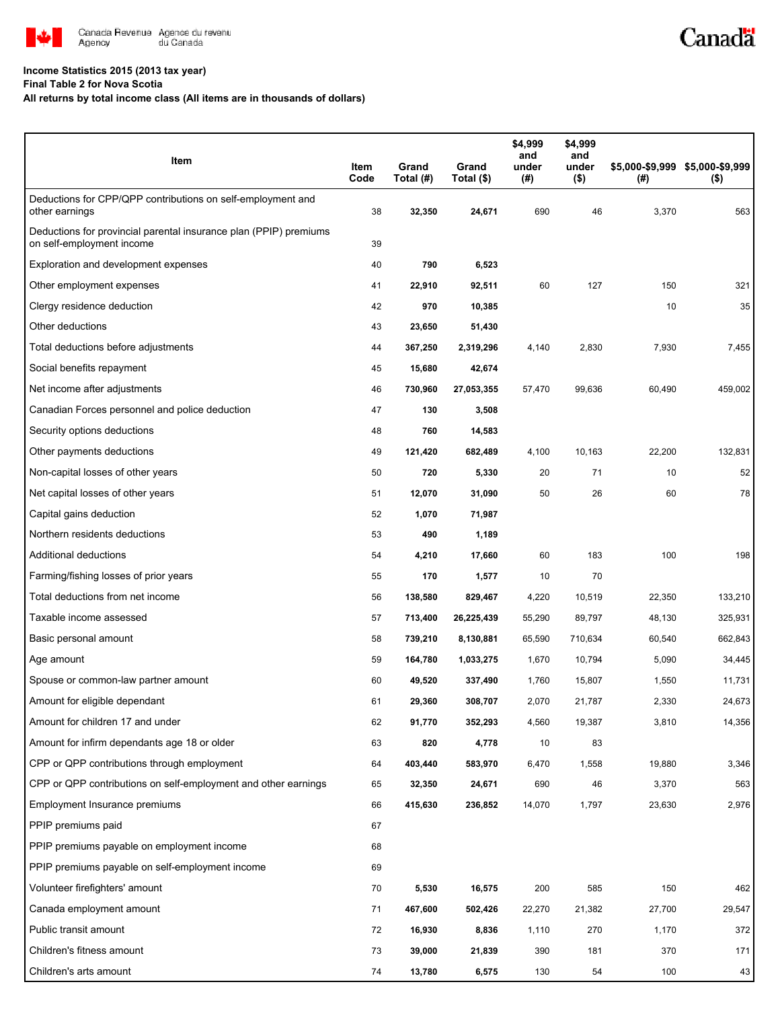

#### **Income Statistics 2015 (2013 tax year)**

**Final Table 2 for Nova Scotia**

**All returns by total income class (All items are in thousands of dollars)**

| Item                                                                                           | Item<br>Code | Grand<br>Total (#) | Grand<br>Total (\$) | \$4,999<br>and<br>under<br>(#) | \$4,999<br>and<br>under<br>$($ \$) | (#)    | \$5,000-\$9,999 \$5,000-\$9,999<br>$($ \$) |
|------------------------------------------------------------------------------------------------|--------------|--------------------|---------------------|--------------------------------|------------------------------------|--------|--------------------------------------------|
| Deductions for CPP/QPP contributions on self-employment and<br>other earnings                  | 38           | 32,350             | 24,671              | 690                            | 46                                 | 3,370  | 563                                        |
| Deductions for provincial parental insurance plan (PPIP) premiums<br>on self-employment income | 39           |                    |                     |                                |                                    |        |                                            |
| Exploration and development expenses                                                           | 40           | 790                | 6,523               |                                |                                    |        |                                            |
| Other employment expenses                                                                      | 41           | 22,910             | 92,511              | 60                             | 127                                | 150    | 321                                        |
| Clergy residence deduction                                                                     | 42           | 970                | 10,385              |                                |                                    | 10     | 35                                         |
| Other deductions                                                                               | 43           | 23,650             | 51,430              |                                |                                    |        |                                            |
| Total deductions before adjustments                                                            | 44           | 367,250            | 2,319,296           | 4,140                          | 2,830                              | 7,930  | 7,455                                      |
| Social benefits repayment                                                                      | 45           | 15,680             | 42,674              |                                |                                    |        |                                            |
| Net income after adjustments                                                                   | 46           | 730,960            | 27,053,355          | 57,470                         | 99,636                             | 60,490 | 459,002                                    |
| Canadian Forces personnel and police deduction                                                 | 47           | 130                | 3,508               |                                |                                    |        |                                            |
| Security options deductions                                                                    | 48           | 760                | 14,583              |                                |                                    |        |                                            |
| Other payments deductions                                                                      | 49           | 121,420            | 682,489             | 4,100                          | 10,163                             | 22,200 | 132,831                                    |
| Non-capital losses of other years                                                              | 50           | 720                | 5,330               | 20                             | 71                                 | 10     | 52                                         |
| Net capital losses of other years                                                              | 51           | 12,070             | 31,090              | 50                             | 26                                 | 60     | 78                                         |
| Capital gains deduction                                                                        | 52           | 1,070              | 71,987              |                                |                                    |        |                                            |
| Northern residents deductions                                                                  | 53           | 490                | 1,189               |                                |                                    |        |                                            |
| Additional deductions                                                                          | 54           | 4,210              | 17,660              | 60                             | 183                                | 100    | 198                                        |
| Farming/fishing losses of prior years                                                          | 55           | 170                | 1,577               | 10                             | 70                                 |        |                                            |
| Total deductions from net income                                                               | 56           | 138,580            | 829,467             | 4,220                          | 10,519                             | 22,350 | 133,210                                    |
| Taxable income assessed                                                                        | 57           | 713,400            | 26,225,439          | 55,290                         | 89,797                             | 48,130 | 325,931                                    |
| Basic personal amount                                                                          | 58           | 739,210            | 8,130,881           | 65,590                         | 710,634                            | 60,540 | 662,843                                    |
| Age amount                                                                                     | 59           | 164,780            | 1,033,275           | 1,670                          | 10,794                             | 5,090  | 34,445                                     |
| Spouse or common-law partner amount                                                            | 60           | 49,520             | 337,490             | 1,760                          | 15,807                             | 1,550  | 11,731                                     |
| Amount for eligible dependant                                                                  | 61           | 29,360             | 308,707             | 2,070                          | 21,787                             | 2,330  | 24,673                                     |
| Amount for children 17 and under                                                               | 62           | 91,770             | 352,293             | 4,560                          | 19,387                             | 3,810  | 14,356                                     |
| Amount for infirm dependants age 18 or older                                                   | 63           | 820                | 4,778               | 10                             | 83                                 |        |                                            |
| CPP or QPP contributions through employment                                                    | 64           | 403,440            | 583,970             | 6,470                          | 1,558                              | 19,880 | 3,346                                      |
| CPP or QPP contributions on self-employment and other earnings                                 | 65           | 32,350             | 24,671              | 690                            | 46                                 | 3,370  | 563                                        |
| Employment Insurance premiums                                                                  | 66           | 415,630            | 236,852             | 14,070                         | 1,797                              | 23,630 | 2,976                                      |
| PPIP premiums paid                                                                             | 67           |                    |                     |                                |                                    |        |                                            |
| PPIP premiums payable on employment income                                                     | 68           |                    |                     |                                |                                    |        |                                            |
| PPIP premiums payable on self-employment income                                                | 69           |                    |                     |                                |                                    |        |                                            |
| Volunteer firefighters' amount                                                                 | 70           | 5,530              | 16,575              | 200                            | 585                                | 150    | 462                                        |
| Canada employment amount                                                                       | 71           | 467,600            | 502,426             | 22,270                         | 21,382                             | 27,700 | 29,547                                     |
| Public transit amount                                                                          | 72           | 16,930             | 8,836               | 1,110                          | 270                                | 1,170  | 372                                        |
| Children's fitness amount                                                                      | 73           | 39,000             | 21,839              | 390                            | 181                                | 370    | 171                                        |
| Children's arts amount                                                                         | 74           | 13,780             | 6,575               | 130                            | 54                                 | 100    | 43                                         |

Canadä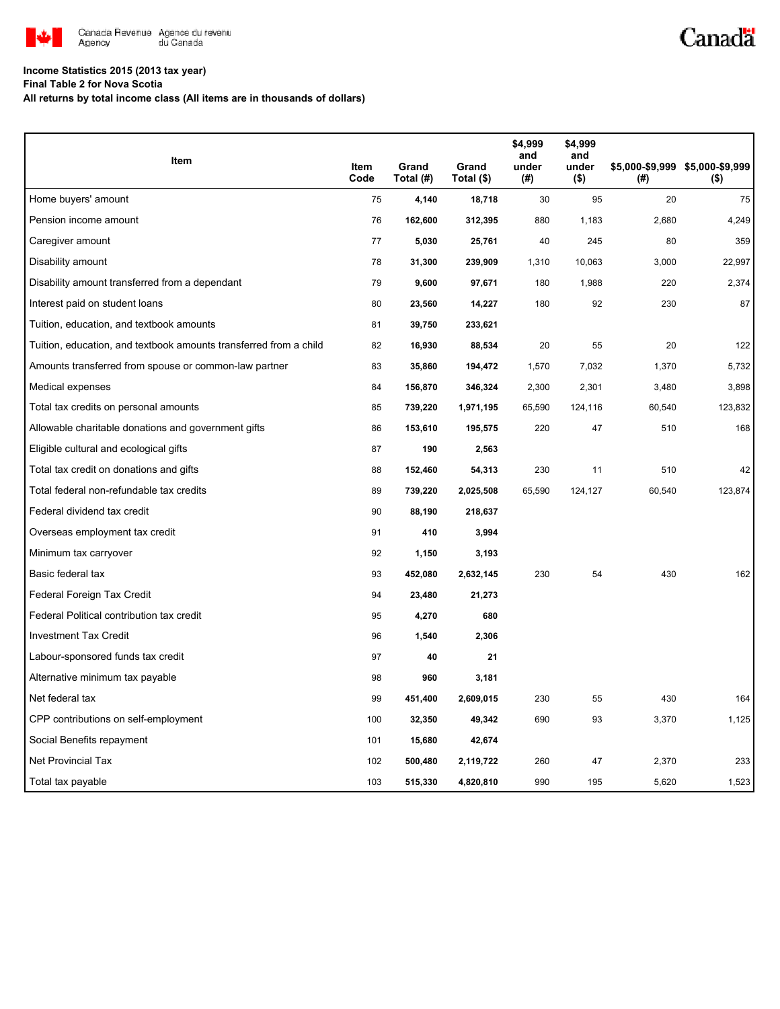

# Canadä

## **Income Statistics 2015 (2013 tax year)**

**Final Table 2 for Nova Scotia**

**All returns by total income class (All items are in thousands of dollars)**

| Item                                                              |              |                    |                     | \$4,999<br>and | \$4,999<br>and   |        |                                            |
|-------------------------------------------------------------------|--------------|--------------------|---------------------|----------------|------------------|--------|--------------------------------------------|
|                                                                   | Item<br>Code | Grand<br>Total (#) | Grand<br>Total (\$) | under<br>(#)   | under<br>$($ \$) | (#)    | \$5,000-\$9,999 \$5,000-\$9,999<br>$($ \$) |
| Home buyers' amount                                               | 75           | 4,140              | 18,718              | 30             | 95               | 20     | 75                                         |
| Pension income amount                                             | 76           | 162,600            | 312,395             | 880            | 1,183            | 2,680  | 4,249                                      |
| Caregiver amount                                                  | 77           | 5,030              | 25,761              | 40             | 245              | 80     | 359                                        |
| Disability amount                                                 | 78           | 31,300             | 239,909             | 1,310          | 10,063           | 3,000  | 22,997                                     |
| Disability amount transferred from a dependant                    | 79           | 9,600              | 97,671              | 180            | 1,988            | 220    | 2,374                                      |
| Interest paid on student loans                                    | 80           | 23,560             | 14,227              | 180            | 92               | 230    | 87                                         |
| Tuition, education, and textbook amounts                          | 81           | 39,750             | 233,621             |                |                  |        |                                            |
| Tuition, education, and textbook amounts transferred from a child | 82           | 16,930             | 88,534              | 20             | 55               | 20     | 122                                        |
| Amounts transferred from spouse or common-law partner             | 83           | 35,860             | 194,472             | 1,570          | 7,032            | 1,370  | 5,732                                      |
| Medical expenses                                                  | 84           | 156,870            | 346,324             | 2,300          | 2,301            | 3,480  | 3,898                                      |
| Total tax credits on personal amounts                             | 85           | 739,220            | 1,971,195           | 65,590         | 124,116          | 60,540 | 123,832                                    |
| Allowable charitable donations and government gifts               | 86           | 153,610            | 195,575             | 220            | 47               | 510    | 168                                        |
| Eligible cultural and ecological gifts                            | 87           | 190                | 2,563               |                |                  |        |                                            |
| Total tax credit on donations and gifts                           | 88           | 152,460            | 54,313              | 230            | 11               | 510    | 42                                         |
| Total federal non-refundable tax credits                          | 89           | 739,220            | 2,025,508           | 65,590         | 124,127          | 60,540 | 123,874                                    |
| Federal dividend tax credit                                       | 90           | 88,190             | 218,637             |                |                  |        |                                            |
| Overseas employment tax credit                                    | 91           | 410                | 3,994               |                |                  |        |                                            |
| Minimum tax carryover                                             | 92           | 1,150              | 3,193               |                |                  |        |                                            |
| Basic federal tax                                                 | 93           | 452,080            | 2,632,145           | 230            | 54               | 430    | 162                                        |
| Federal Foreign Tax Credit                                        | 94           | 23,480             | 21,273              |                |                  |        |                                            |
| Federal Political contribution tax credit                         | 95           | 4,270              | 680                 |                |                  |        |                                            |
| <b>Investment Tax Credit</b>                                      | 96           | 1,540              | 2,306               |                |                  |        |                                            |
| Labour-sponsored funds tax credit                                 | 97           | 40                 | 21                  |                |                  |        |                                            |
| Alternative minimum tax payable                                   | 98           | 960                | 3,181               |                |                  |        |                                            |
| Net federal tax                                                   | 99           | 451,400            | 2,609,015           | 230            | 55               | 430    | 164                                        |
| CPP contributions on self-employment                              | 100          | 32,350             | 49,342              | 690            | 93               | 3,370  | 1,125                                      |
| Social Benefits repayment                                         | 101          | 15,680             | 42,674              |                |                  |        |                                            |
| Net Provincial Tax                                                | 102          | 500,480            | 2,119,722           | 260            | 47               | 2,370  | 233                                        |
| Total tax payable                                                 | 103          | 515,330            | 4,820,810           | 990            | 195              | 5,620  | 1,523                                      |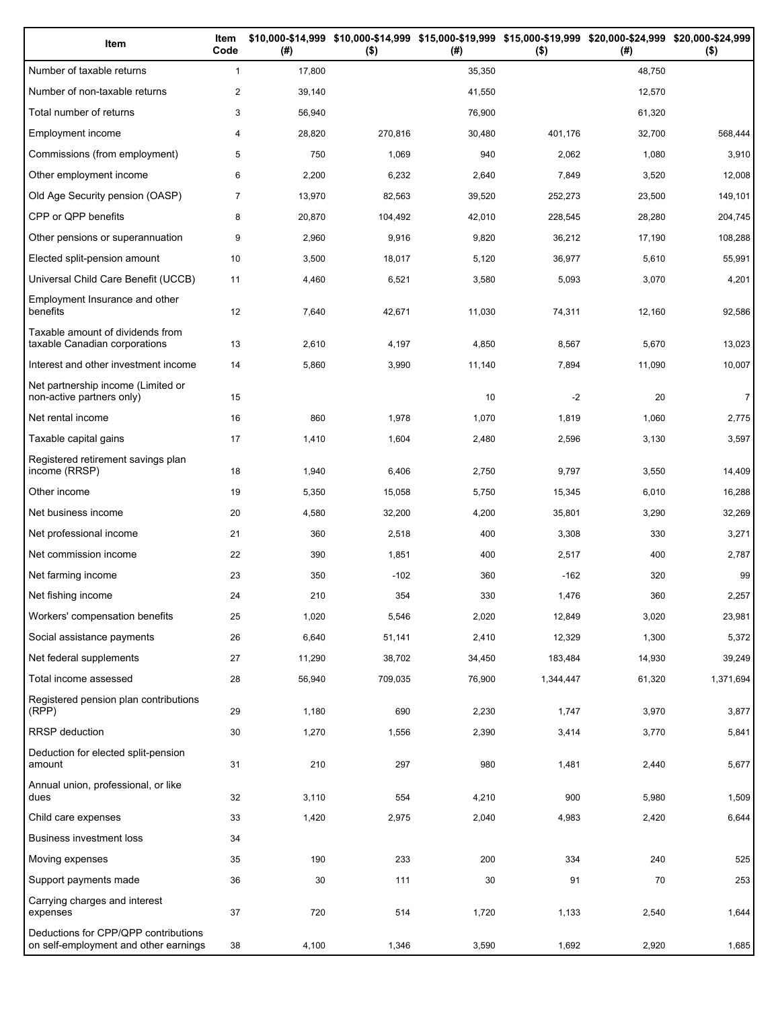| Item                                                                          | Item<br>Code   | (#)    | \$10,000-\$14,999 \$10,000-\$14,999 \$15,000-\$19,999 \$15,000-\$19,999 \$20,000-\$24,999 \$20,000-\$24,999<br>$($ \$) | (# )   | $($ \$)   | (#)    | $($ \$)        |
|-------------------------------------------------------------------------------|----------------|--------|------------------------------------------------------------------------------------------------------------------------|--------|-----------|--------|----------------|
| Number of taxable returns                                                     | $\mathbf{1}$   | 17,800 |                                                                                                                        | 35,350 |           | 48.750 |                |
| Number of non-taxable returns                                                 | $\overline{c}$ | 39,140 |                                                                                                                        | 41,550 |           | 12,570 |                |
| Total number of returns                                                       | 3              | 56,940 |                                                                                                                        | 76,900 |           | 61,320 |                |
| Employment income                                                             | 4              | 28,820 | 270,816                                                                                                                | 30,480 | 401,176   | 32,700 | 568,444        |
| Commissions (from employment)                                                 | 5              | 750    | 1,069                                                                                                                  | 940    | 2,062     | 1,080  | 3,910          |
| Other employment income                                                       | 6              | 2,200  | 6,232                                                                                                                  | 2,640  | 7,849     | 3,520  | 12,008         |
| Old Age Security pension (OASP)                                               | $\overline{7}$ | 13,970 | 82,563                                                                                                                 | 39,520 | 252,273   | 23,500 | 149,101        |
| CPP or QPP benefits                                                           | 8              | 20,870 | 104,492                                                                                                                | 42,010 | 228,545   | 28,280 | 204,745        |
| Other pensions or superannuation                                              | 9              | 2,960  | 9,916                                                                                                                  | 9,820  | 36,212    | 17,190 | 108,288        |
| Elected split-pension amount                                                  | 10             | 3,500  | 18,017                                                                                                                 | 5,120  | 36,977    | 5,610  | 55,991         |
| Universal Child Care Benefit (UCCB)                                           | 11             | 4,460  | 6,521                                                                                                                  | 3,580  | 5,093     | 3,070  | 4,201          |
| Employment Insurance and other<br>benefits                                    | 12             | 7,640  | 42,671                                                                                                                 | 11,030 | 74,311    | 12,160 | 92,586         |
| Taxable amount of dividends from<br>taxable Canadian corporations             | 13             | 2,610  | 4,197                                                                                                                  | 4,850  | 8,567     | 5,670  | 13,023         |
| Interest and other investment income                                          | 14             | 5,860  | 3,990                                                                                                                  | 11,140 | 7,894     | 11,090 | 10,007         |
| Net partnership income (Limited or<br>non-active partners only)               | 15             |        |                                                                                                                        | 10     | $-2$      | 20     | $\overline{7}$ |
| Net rental income                                                             | 16             | 860    | 1,978                                                                                                                  | 1,070  | 1,819     | 1,060  | 2,775          |
| Taxable capital gains                                                         | 17             | 1,410  | 1,604                                                                                                                  | 2,480  | 2,596     | 3,130  | 3,597          |
| Registered retirement savings plan<br>income (RRSP)                           | 18             | 1,940  | 6,406                                                                                                                  | 2,750  | 9,797     | 3,550  | 14,409         |
| Other income                                                                  | 19             | 5,350  | 15,058                                                                                                                 | 5,750  | 15,345    | 6,010  | 16,288         |
| Net business income                                                           | 20             | 4,580  | 32,200                                                                                                                 | 4,200  | 35,801    | 3,290  | 32,269         |
| Net professional income                                                       | 21             | 360    | 2,518                                                                                                                  | 400    | 3,308     | 330    | 3,271          |
| Net commission income                                                         | 22             | 390    | 1,851                                                                                                                  | 400    | 2,517     | 400    | 2,787          |
| Net farming income                                                            | 23             | 350    | $-102$                                                                                                                 | 360    | $-162$    | 320    | 99             |
| Net fishing income                                                            | 24             | 210    | 354                                                                                                                    | 330    | 1,476     | 360    | 2,257          |
| Workers' compensation benefits                                                | 25             | 1,020  | 5,546                                                                                                                  | 2,020  | 12,849    | 3,020  | 23,981         |
| Social assistance payments                                                    | 26             | 6,640  | 51,141                                                                                                                 | 2,410  | 12,329    | 1,300  | 5,372          |
| Net federal supplements                                                       | 27             | 11,290 | 38,702                                                                                                                 | 34,450 | 183,484   | 14,930 | 39,249         |
| Total income assessed                                                         | 28             | 56,940 | 709,035                                                                                                                | 76,900 | 1,344,447 | 61,320 | 1,371,694      |
| Registered pension plan contributions<br>(RPP)                                | 29             | 1,180  | 690                                                                                                                    | 2,230  | 1,747     | 3,970  | 3,877          |
| RRSP deduction                                                                | 30             | 1,270  | 1,556                                                                                                                  | 2,390  | 3,414     | 3,770  | 5,841          |
| Deduction for elected split-pension<br>amount                                 | 31             | 210    | 297                                                                                                                    | 980    | 1,481     | 2,440  | 5,677          |
| Annual union, professional, or like<br>dues                                   | 32             | 3,110  | 554                                                                                                                    | 4,210  | 900       | 5,980  | 1,509          |
| Child care expenses                                                           | 33             | 1,420  | 2,975                                                                                                                  | 2,040  | 4,983     | 2,420  | 6,644          |
| Business investment loss                                                      | 34             |        |                                                                                                                        |        |           |        |                |
| Moving expenses                                                               | 35             | 190    | 233                                                                                                                    | 200    | 334       | 240    | 525            |
| Support payments made                                                         | 36             | 30     | 111                                                                                                                    | 30     | 91        | 70     | 253            |
| Carrying charges and interest<br>expenses                                     | 37             | 720    | 514                                                                                                                    | 1,720  | 1,133     | 2,540  | 1,644          |
| Deductions for CPP/QPP contributions<br>on self-employment and other earnings | 38             | 4,100  | 1,346                                                                                                                  | 3,590  | 1,692     | 2,920  | 1,685          |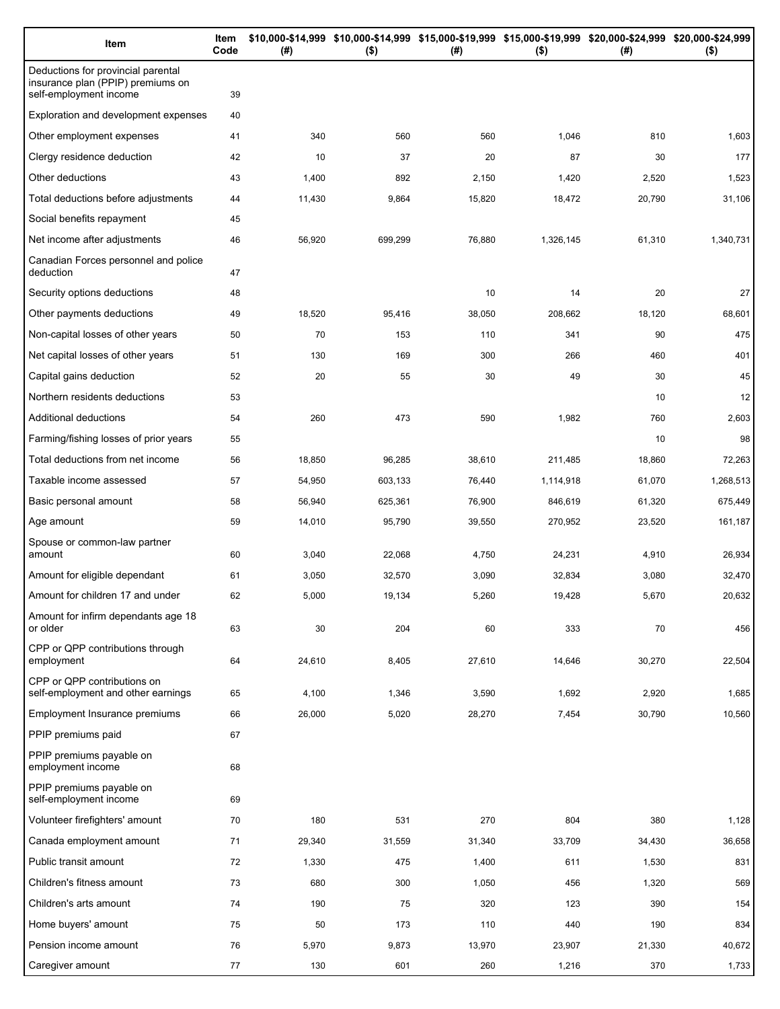| Item                                                                                              | Item<br>Code | (# )   | \$10,000-\$14,999 \$10,000-\$14,999 \$15,000-\$19,999 \$15,000-\$19,999 \$20,000-\$24,999 \$20,000-\$24,999<br>$($ \$) | (#)    | $($ \$)   | (# )   | $($ \$)   |
|---------------------------------------------------------------------------------------------------|--------------|--------|------------------------------------------------------------------------------------------------------------------------|--------|-----------|--------|-----------|
| Deductions for provincial parental<br>insurance plan (PPIP) premiums on<br>self-employment income | 39           |        |                                                                                                                        |        |           |        |           |
| Exploration and development expenses                                                              | 40           |        |                                                                                                                        |        |           |        |           |
| Other employment expenses                                                                         | 41           | 340    | 560                                                                                                                    | 560    | 1,046     | 810    | 1,603     |
| Clergy residence deduction                                                                        | 42           | 10     | 37                                                                                                                     | 20     | 87        | 30     | 177       |
| Other deductions                                                                                  | 43           | 1,400  | 892                                                                                                                    | 2,150  | 1,420     | 2,520  | 1,523     |
| Total deductions before adjustments                                                               | 44           | 11,430 | 9,864                                                                                                                  | 15,820 | 18,472    | 20,790 | 31,106    |
| Social benefits repayment                                                                         | 45           |        |                                                                                                                        |        |           |        |           |
| Net income after adjustments                                                                      | 46           | 56,920 | 699,299                                                                                                                | 76,880 | 1,326,145 | 61,310 | 1,340,731 |
| Canadian Forces personnel and police<br>deduction                                                 | 47           |        |                                                                                                                        |        |           |        |           |
| Security options deductions                                                                       | 48           |        |                                                                                                                        | 10     | 14        | 20     | 27        |
| Other payments deductions                                                                         | 49           | 18,520 | 95,416                                                                                                                 | 38,050 | 208,662   | 18,120 | 68,601    |
| Non-capital losses of other years                                                                 | 50           | 70     | 153                                                                                                                    | 110    | 341       | 90     | 475       |
| Net capital losses of other years                                                                 | 51           | 130    | 169                                                                                                                    | 300    | 266       | 460    | 401       |
| Capital gains deduction                                                                           | 52           | 20     | 55                                                                                                                     | 30     | 49        | 30     | 45        |
| Northern residents deductions                                                                     | 53           |        |                                                                                                                        |        |           | 10     | 12        |
| Additional deductions                                                                             | 54           | 260    | 473                                                                                                                    | 590    | 1,982     | 760    | 2,603     |
| Farming/fishing losses of prior years                                                             | 55           |        |                                                                                                                        |        |           | 10     | 98        |
| Total deductions from net income                                                                  | 56           | 18,850 | 96,285                                                                                                                 | 38,610 | 211,485   | 18,860 | 72,263    |
| Taxable income assessed                                                                           | 57           | 54,950 | 603,133                                                                                                                | 76,440 | 1,114,918 | 61,070 | 1,268,513 |
| Basic personal amount                                                                             | 58           | 56,940 | 625,361                                                                                                                | 76,900 | 846,619   | 61,320 | 675,449   |
| Age amount                                                                                        | 59           | 14,010 | 95,790                                                                                                                 | 39,550 | 270,952   | 23,520 | 161,187   |
| Spouse or common-law partner<br>amount                                                            | 60           | 3,040  | 22,068                                                                                                                 | 4,750  | 24,231    | 4,910  | 26,934    |
| Amount for eligible dependant                                                                     | 61           | 3,050  | 32,570                                                                                                                 | 3,090  | 32,834    | 3,080  | 32,470    |
| Amount for children 17 and under                                                                  | 62           | 5,000  | 19,134                                                                                                                 | 5,260  | 19.428    | 5,670  | 20,632    |
| Amount for infirm dependants age 18<br>or older                                                   | 63           | 30     | 204                                                                                                                    | 60     | 333       | 70     | 456       |
| CPP or QPP contributions through<br>employment                                                    | 64           | 24,610 | 8,405                                                                                                                  | 27,610 | 14,646    | 30,270 | 22,504    |
| CPP or QPP contributions on<br>self-employment and other earnings                                 | 65           | 4,100  | 1,346                                                                                                                  | 3,590  | 1,692     | 2,920  | 1,685     |
| Employment Insurance premiums                                                                     | 66           | 26,000 | 5,020                                                                                                                  | 28,270 | 7,454     | 30,790 | 10,560    |
| PPIP premiums paid                                                                                | 67           |        |                                                                                                                        |        |           |        |           |
| PPIP premiums payable on<br>employment income                                                     | 68           |        |                                                                                                                        |        |           |        |           |
| PPIP premiums payable on<br>self-employment income                                                | 69           |        |                                                                                                                        |        |           |        |           |
| Volunteer firefighters' amount                                                                    | 70           | 180    | 531                                                                                                                    | 270    | 804       | 380    | 1,128     |
| Canada employment amount                                                                          | 71           | 29,340 | 31,559                                                                                                                 | 31,340 | 33,709    | 34,430 | 36,658    |
| Public transit amount                                                                             | 72           | 1,330  | 475                                                                                                                    | 1,400  | 611       | 1,530  | 831       |
| Children's fitness amount                                                                         | 73           | 680    | 300                                                                                                                    | 1,050  | 456       | 1,320  | 569       |
| Children's arts amount                                                                            | 74           | 190    | 75                                                                                                                     | 320    | 123       | 390    | 154       |
| Home buyers' amount                                                                               | 75           | 50     | 173                                                                                                                    | 110    | 440       | 190    | 834       |
| Pension income amount                                                                             | 76           | 5,970  | 9,873                                                                                                                  | 13,970 | 23,907    | 21,330 | 40,672    |
| Caregiver amount                                                                                  | 77           | 130    | 601                                                                                                                    | 260    | 1,216     | 370    | 1,733     |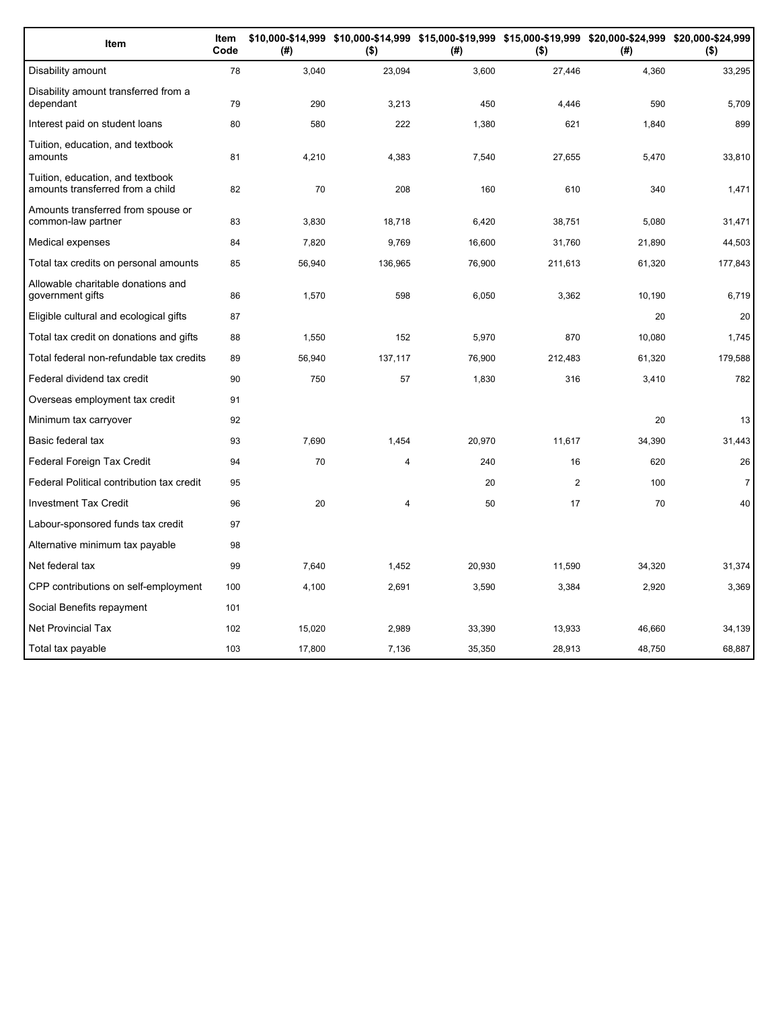| Item                                                                 | Item<br>Code | (#)    | $($ \$) | (#)    | $($ \$)        | \$10,000-\$14,999 \$10,000-\$14,999 \$15,000-\$19,999 \$15,000-\$19,999 \$20,000-\$24,999 \$20,000-\$24,999<br>(#) | $($ \$)        |
|----------------------------------------------------------------------|--------------|--------|---------|--------|----------------|--------------------------------------------------------------------------------------------------------------------|----------------|
| Disability amount                                                    | 78           | 3,040  | 23,094  | 3,600  | 27,446         | 4,360                                                                                                              | 33,295         |
| Disability amount transferred from a<br>dependant                    | 79           | 290    | 3,213   | 450    | 4,446          | 590                                                                                                                | 5,709          |
| Interest paid on student loans                                       | 80           | 580    | 222     | 1,380  | 621            | 1,840                                                                                                              | 899            |
| Tuition, education, and textbook<br>amounts                          | 81           | 4,210  | 4,383   | 7,540  | 27,655         | 5,470                                                                                                              | 33,810         |
| Tuition, education, and textbook<br>amounts transferred from a child | 82           | 70     | 208     | 160    | 610            | 340                                                                                                                | 1,471          |
| Amounts transferred from spouse or<br>common-law partner             | 83           | 3,830  | 18,718  | 6,420  | 38,751         | 5,080                                                                                                              | 31,471         |
| Medical expenses                                                     | 84           | 7,820  | 9,769   | 16,600 | 31,760         | 21,890                                                                                                             | 44,503         |
| Total tax credits on personal amounts                                | 85           | 56,940 | 136,965 | 76,900 | 211,613        | 61,320                                                                                                             | 177,843        |
| Allowable charitable donations and<br>government gifts               | 86           | 1,570  | 598     | 6,050  | 3,362          | 10,190                                                                                                             | 6,719          |
| Eligible cultural and ecological gifts                               | 87           |        |         |        |                | 20                                                                                                                 | 20             |
| Total tax credit on donations and gifts                              | 88           | 1,550  | 152     | 5,970  | 870            | 10.080                                                                                                             | 1,745          |
| Total federal non-refundable tax credits                             | 89           | 56,940 | 137,117 | 76,900 | 212,483        | 61,320                                                                                                             | 179,588        |
| Federal dividend tax credit                                          | 90           | 750    | 57      | 1,830  | 316            | 3,410                                                                                                              | 782            |
| Overseas employment tax credit                                       | 91           |        |         |        |                |                                                                                                                    |                |
| Minimum tax carryover                                                | 92           |        |         |        |                | 20                                                                                                                 | 13             |
| Basic federal tax                                                    | 93           | 7,690  | 1,454   | 20,970 | 11,617         | 34,390                                                                                                             | 31,443         |
| Federal Foreign Tax Credit                                           | 94           | 70     | 4       | 240    | 16             | 620                                                                                                                | 26             |
| Federal Political contribution tax credit                            | 95           |        |         | 20     | $\overline{2}$ | 100                                                                                                                | $\overline{7}$ |
| <b>Investment Tax Credit</b>                                         | 96           | 20     | 4       | 50     | 17             | 70                                                                                                                 | 40             |
| Labour-sponsored funds tax credit                                    | 97           |        |         |        |                |                                                                                                                    |                |
| Alternative minimum tax payable                                      | 98           |        |         |        |                |                                                                                                                    |                |
| Net federal tax                                                      | 99           | 7,640  | 1,452   | 20,930 | 11,590         | 34,320                                                                                                             | 31,374         |
| CPP contributions on self-employment                                 | 100          | 4,100  | 2,691   | 3,590  | 3,384          | 2,920                                                                                                              | 3,369          |
| Social Benefits repayment                                            | 101          |        |         |        |                |                                                                                                                    |                |
| <b>Net Provincial Tax</b>                                            | 102          | 15,020 | 2,989   | 33,390 | 13,933         | 46,660                                                                                                             | 34,139         |
| Total tax payable                                                    | 103          | 17,800 | 7,136   | 35,350 | 28,913         | 48,750                                                                                                             | 68,887         |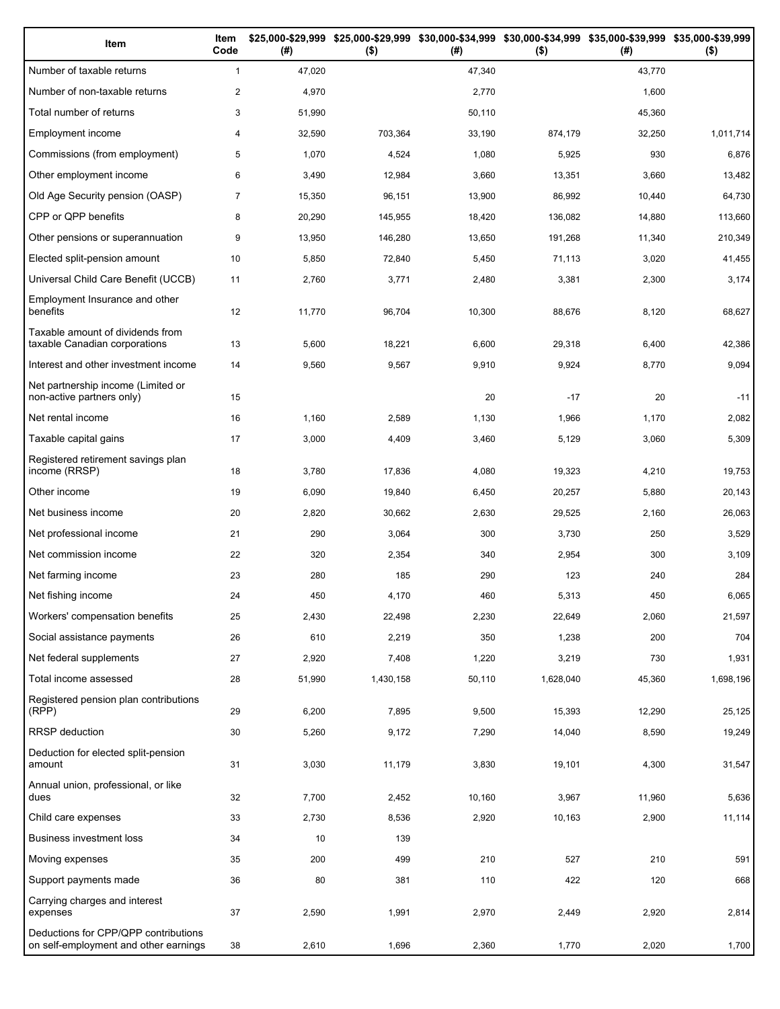| Item                                                                          | Item<br>Code   | (# )   | \$25,000-\$29,999 \$25,000-\$29,999<br>$($ \$) | (# )   | $($ \$)   | \$30,000-\$34,999 \$30,000-\$34,999 \$35,000-\$39,999 \$35,000-\$39,999<br>(#) | $($ \$)   |
|-------------------------------------------------------------------------------|----------------|--------|------------------------------------------------|--------|-----------|--------------------------------------------------------------------------------|-----------|
| Number of taxable returns                                                     | $\mathbf{1}$   | 47,020 |                                                | 47,340 |           | 43,770                                                                         |           |
| Number of non-taxable returns                                                 | $\overline{2}$ | 4,970  |                                                | 2,770  |           | 1,600                                                                          |           |
| Total number of returns                                                       | 3              | 51,990 |                                                | 50,110 |           | 45,360                                                                         |           |
| Employment income                                                             | 4              | 32,590 | 703,364                                        | 33,190 | 874,179   | 32,250                                                                         | 1,011,714 |
| Commissions (from employment)                                                 | 5              | 1,070  | 4,524                                          | 1,080  | 5,925     | 930                                                                            | 6,876     |
| Other employment income                                                       | 6              | 3,490  | 12,984                                         | 3,660  | 13,351    | 3,660                                                                          | 13,482    |
| Old Age Security pension (OASP)                                               | $\overline{7}$ | 15,350 | 96,151                                         | 13,900 | 86,992    | 10,440                                                                         | 64,730    |
| CPP or QPP benefits                                                           | 8              | 20,290 | 145,955                                        | 18,420 | 136,082   | 14,880                                                                         | 113,660   |
| Other pensions or superannuation                                              | 9              | 13,950 | 146,280                                        | 13,650 | 191,268   | 11,340                                                                         | 210,349   |
| Elected split-pension amount                                                  | 10             | 5,850  | 72,840                                         | 5,450  | 71,113    | 3,020                                                                          | 41,455    |
| Universal Child Care Benefit (UCCB)                                           | 11             | 2,760  | 3,771                                          | 2,480  | 3,381     | 2,300                                                                          | 3,174     |
| Employment Insurance and other<br>benefits                                    | 12             | 11,770 | 96,704                                         | 10,300 | 88,676    | 8,120                                                                          | 68,627    |
| Taxable amount of dividends from<br>taxable Canadian corporations             | 13             | 5,600  | 18,221                                         | 6,600  | 29,318    | 6,400                                                                          | 42,386    |
| Interest and other investment income                                          | 14             | 9,560  | 9,567                                          | 9,910  | 9,924     | 8,770                                                                          | 9,094     |
| Net partnership income (Limited or<br>non-active partners only)               | 15             |        |                                                | 20     | $-17$     | 20                                                                             | $-11$     |
| Net rental income                                                             | 16             | 1,160  | 2,589                                          | 1,130  | 1,966     | 1,170                                                                          | 2,082     |
| Taxable capital gains                                                         | 17             | 3,000  | 4,409                                          | 3,460  | 5,129     | 3,060                                                                          | 5,309     |
| Registered retirement savings plan<br>income (RRSP)                           | 18             | 3,780  | 17,836                                         | 4,080  | 19,323    | 4,210                                                                          | 19,753    |
| Other income                                                                  | 19             | 6,090  | 19,840                                         | 6,450  | 20,257    | 5,880                                                                          | 20,143    |
| Net business income                                                           | 20             | 2,820  | 30,662                                         | 2,630  | 29,525    | 2,160                                                                          | 26,063    |
| Net professional income                                                       | 21             | 290    | 3,064                                          | 300    | 3,730     | 250                                                                            | 3,529     |
| Net commission income                                                         | 22             | 320    | 2,354                                          | 340    | 2,954     | 300                                                                            | 3,109     |
| Net farming income                                                            | 23             | 280    | 185                                            | 290    | 123       | 240                                                                            | 284       |
| Net fishing income                                                            | 24             | 450    | 4,170                                          | 460    | 5,313     | 450                                                                            | 6,065     |
| Workers' compensation benefits                                                | 25             | 2,430  | 22,498                                         | 2,230  | 22,649    | 2,060                                                                          | 21,597    |
| Social assistance payments                                                    | 26             | 610    | 2,219                                          | 350    | 1,238     | 200                                                                            | 704       |
| Net federal supplements                                                       | 27             | 2,920  | 7,408                                          | 1,220  | 3,219     | 730                                                                            | 1,931     |
| Total income assessed                                                         | 28             | 51,990 | 1,430,158                                      | 50,110 | 1,628,040 | 45,360                                                                         | 1,698,196 |
| Registered pension plan contributions<br>(RPP)                                | 29             | 6,200  | 7,895                                          | 9,500  | 15,393    | 12,290                                                                         | 25,125    |
| RRSP deduction                                                                | 30             | 5,260  | 9,172                                          | 7,290  | 14,040    | 8,590                                                                          | 19,249    |
| Deduction for elected split-pension<br>amount                                 | 31             | 3,030  | 11,179                                         | 3,830  | 19,101    | 4,300                                                                          | 31,547    |
| Annual union, professional, or like<br>dues                                   | 32             | 7,700  | 2,452                                          | 10,160 | 3,967     | 11,960                                                                         | 5,636     |
| Child care expenses                                                           | 33             | 2,730  | 8,536                                          | 2,920  | 10,163    | 2,900                                                                          | 11,114    |
| Business investment loss                                                      | 34             | 10     | 139                                            |        |           |                                                                                |           |
| Moving expenses                                                               | 35             | 200    | 499                                            | 210    | 527       | 210                                                                            | 591       |
| Support payments made                                                         | 36             | 80     | 381                                            | 110    | 422       | 120                                                                            | 668       |
| Carrying charges and interest<br>expenses                                     | 37             | 2,590  | 1,991                                          | 2,970  | 2,449     | 2,920                                                                          | 2,814     |
| Deductions for CPP/QPP contributions<br>on self-employment and other earnings | 38             | 2,610  | 1,696                                          | 2,360  | 1,770     | 2,020                                                                          | 1,700     |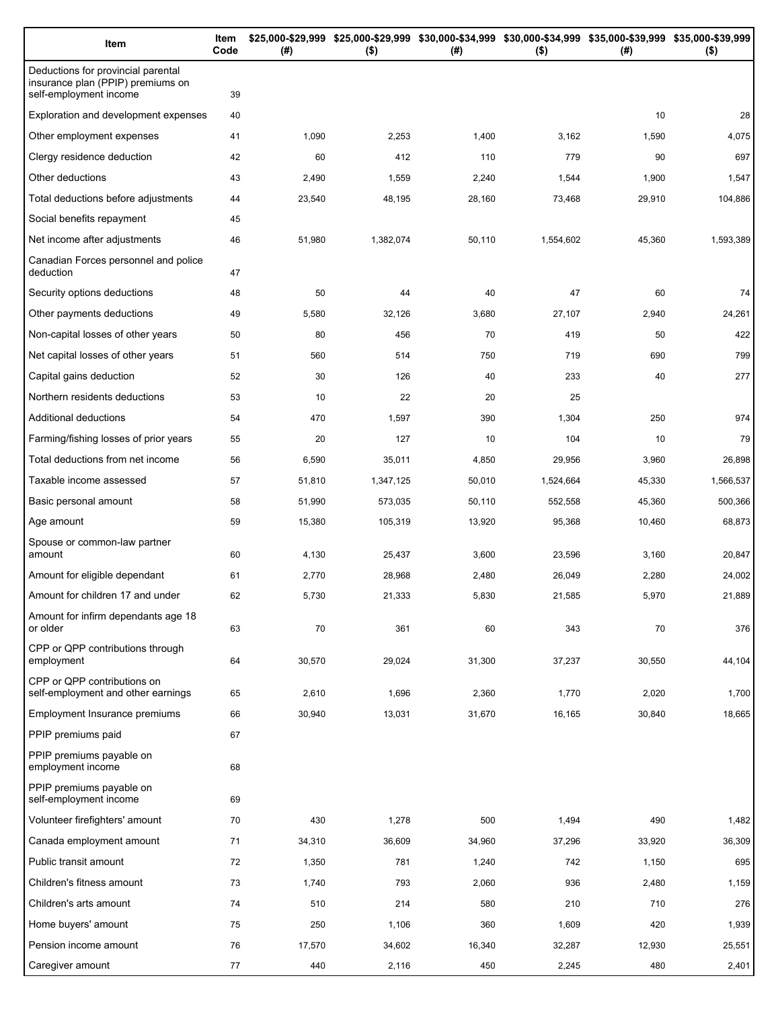| Item                                                                                              | Item<br>Code | (#)    | $($ \$)   | \$25,000-\$29,999 \$25,000-\$29,999 \$30,000-\$34,999 \$30,000-\$34,999 \$35,000-\$39,999 \$35,000-\$39,999<br>(# ) | $($ \$)   | (#)    | $($ \$)   |
|---------------------------------------------------------------------------------------------------|--------------|--------|-----------|---------------------------------------------------------------------------------------------------------------------|-----------|--------|-----------|
| Deductions for provincial parental<br>insurance plan (PPIP) premiums on<br>self-employment income | 39           |        |           |                                                                                                                     |           |        |           |
| Exploration and development expenses                                                              | 40           |        |           |                                                                                                                     |           | 10     | 28        |
| Other employment expenses                                                                         | 41           | 1,090  | 2,253     | 1,400                                                                                                               | 3,162     | 1,590  | 4,075     |
| Clergy residence deduction                                                                        | 42           | 60     | 412       | 110                                                                                                                 | 779       | 90     | 697       |
| Other deductions                                                                                  | 43           | 2,490  | 1,559     | 2,240                                                                                                               | 1,544     | 1,900  | 1,547     |
| Total deductions before adjustments                                                               | 44           | 23,540 | 48,195    | 28,160                                                                                                              | 73,468    | 29,910 | 104,886   |
| Social benefits repayment                                                                         | 45           |        |           |                                                                                                                     |           |        |           |
| Net income after adjustments                                                                      | 46           | 51,980 | 1,382,074 | 50,110                                                                                                              | 1,554,602 | 45,360 | 1,593,389 |
| Canadian Forces personnel and police<br>deduction                                                 | 47           |        |           |                                                                                                                     |           |        |           |
| Security options deductions                                                                       | 48           | 50     | 44        | 40                                                                                                                  | 47        | 60     | 74        |
| Other payments deductions                                                                         | 49           | 5,580  | 32,126    | 3,680                                                                                                               | 27,107    | 2,940  | 24,261    |
| Non-capital losses of other years                                                                 | 50           | 80     | 456       | 70                                                                                                                  | 419       | 50     | 422       |
| Net capital losses of other years                                                                 | 51           | 560    | 514       | 750                                                                                                                 | 719       | 690    | 799       |
| Capital gains deduction                                                                           | 52           | 30     | 126       | 40                                                                                                                  | 233       | 40     | 277       |
| Northern residents deductions                                                                     | 53           | 10     | 22        | 20                                                                                                                  | 25        |        |           |
| Additional deductions                                                                             | 54           | 470    | 1,597     | 390                                                                                                                 | 1,304     | 250    | 974       |
| Farming/fishing losses of prior years                                                             | 55           | 20     | 127       | 10                                                                                                                  | 104       | 10     | 79        |
| Total deductions from net income                                                                  | 56           | 6,590  | 35,011    | 4,850                                                                                                               | 29,956    | 3,960  | 26,898    |
| Taxable income assessed                                                                           | 57           | 51,810 | 1,347,125 | 50,010                                                                                                              | 1,524,664 | 45,330 | 1,566,537 |
| Basic personal amount                                                                             | 58           | 51,990 | 573,035   | 50,110                                                                                                              | 552,558   | 45,360 | 500,366   |
| Age amount                                                                                        | 59           | 15,380 | 105,319   | 13,920                                                                                                              | 95,368    | 10,460 | 68,873    |
| Spouse or common-law partner<br>amount                                                            | 60           | 4,130  | 25,437    | 3,600                                                                                                               | 23,596    | 3,160  | 20,847    |
| Amount for eligible dependant                                                                     | 61           | 2,770  | 28,968    | 2,480                                                                                                               | 26,049    | 2,280  | 24,002    |
| Amount for children 17 and under                                                                  | 62           | 5,730  | 21,333    | 5,830                                                                                                               | 21,585    | 5,970  | 21,889    |
| Amount for infirm dependants age 18<br>or older                                                   | 63           | 70     | 361       | 60                                                                                                                  | 343       | 70     | 376       |
| CPP or QPP contributions through<br>employment                                                    | 64           | 30,570 | 29,024    | 31,300                                                                                                              | 37,237    | 30,550 | 44,104    |
| CPP or QPP contributions on<br>self-employment and other earnings                                 | 65           | 2,610  | 1,696     | 2,360                                                                                                               | 1,770     | 2,020  | 1,700     |
| Employment Insurance premiums                                                                     | 66           | 30,940 | 13,031    | 31,670                                                                                                              | 16,165    | 30,840 | 18,665    |
| PPIP premiums paid                                                                                | 67           |        |           |                                                                                                                     |           |        |           |
| PPIP premiums payable on<br>employment income                                                     | 68           |        |           |                                                                                                                     |           |        |           |
| PPIP premiums payable on<br>self-employment income                                                | 69           |        |           |                                                                                                                     |           |        |           |
| Volunteer firefighters' amount                                                                    | 70           | 430    | 1,278     | 500                                                                                                                 | 1,494     | 490    | 1,482     |
| Canada employment amount                                                                          | 71           | 34,310 | 36,609    | 34,960                                                                                                              | 37,296    | 33,920 | 36,309    |
| Public transit amount                                                                             | 72           | 1,350  | 781       | 1,240                                                                                                               | 742       | 1,150  | 695       |
| Children's fitness amount                                                                         | 73           | 1,740  | 793       | 2,060                                                                                                               | 936       | 2,480  | 1,159     |
| Children's arts amount                                                                            | 74           | 510    | 214       | 580                                                                                                                 | 210       | 710    | 276       |
| Home buyers' amount                                                                               | 75           | 250    | 1,106     | 360                                                                                                                 | 1,609     | 420    | 1,939     |
| Pension income amount                                                                             | 76           | 17,570 | 34,602    | 16,340                                                                                                              | 32,287    | 12,930 | 25,551    |
| Caregiver amount                                                                                  | 77           | 440    | 2,116     | 450                                                                                                                 | 2,245     | 480    | 2,401     |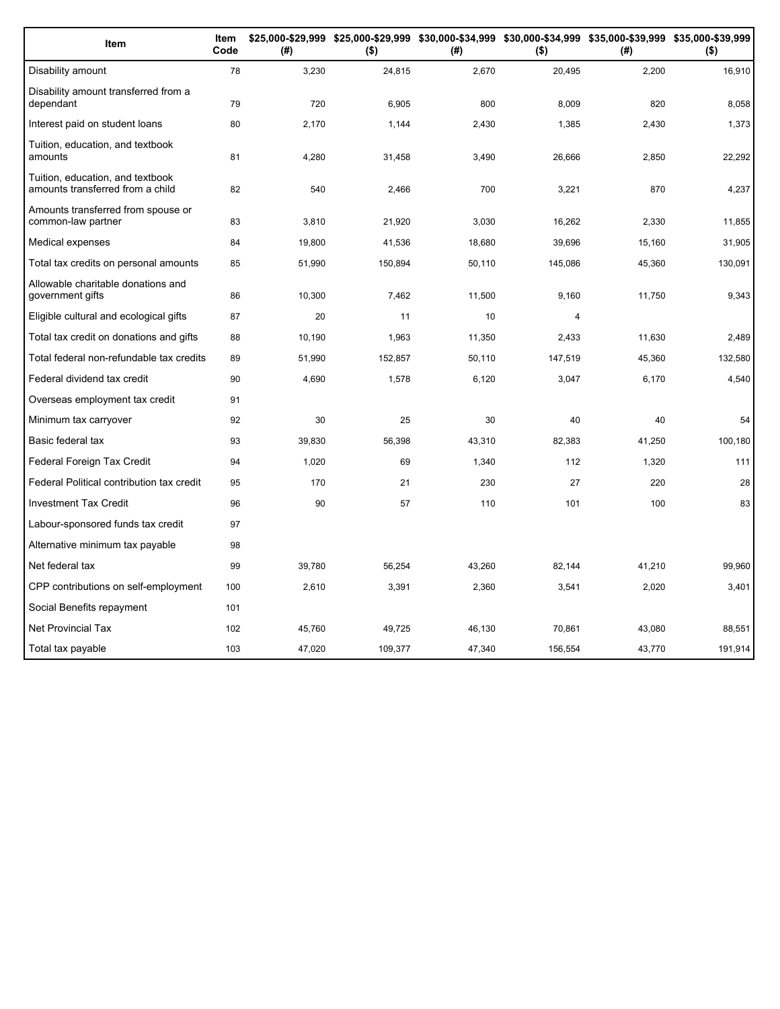| Item                                                                 | Item<br>Code | (#)    | \$25,000-\$29,999 \$25,000-\$29,999 \$30,000-\$34,999 \$30,000-\$34,999 \$35,000-\$39,999 \$35,000-\$39,999<br>$($ \$) | (#)    | $($ \$) | (#)    | $($ \$) |
|----------------------------------------------------------------------|--------------|--------|------------------------------------------------------------------------------------------------------------------------|--------|---------|--------|---------|
| Disability amount                                                    | 78           | 3,230  | 24,815                                                                                                                 | 2,670  | 20,495  | 2,200  | 16,910  |
| Disability amount transferred from a<br>dependant                    | 79           | 720    | 6,905                                                                                                                  | 800    | 8.009   | 820    | 8,058   |
| Interest paid on student loans                                       | 80           | 2.170  | 1,144                                                                                                                  | 2,430  | 1,385   | 2,430  | 1,373   |
| Tuition, education, and textbook<br>amounts                          | 81           | 4,280  | 31,458                                                                                                                 | 3,490  | 26,666  | 2,850  | 22,292  |
| Tuition, education, and textbook<br>amounts transferred from a child | 82           | 540    | 2,466                                                                                                                  | 700    | 3,221   | 870    | 4,237   |
| Amounts transferred from spouse or<br>common-law partner             | 83           | 3.810  | 21,920                                                                                                                 | 3,030  | 16,262  | 2,330  | 11,855  |
| Medical expenses                                                     | 84           | 19,800 | 41,536                                                                                                                 | 18,680 | 39,696  | 15,160 | 31,905  |
| Total tax credits on personal amounts                                | 85           | 51,990 | 150,894                                                                                                                | 50,110 | 145,086 | 45,360 | 130,091 |
| Allowable charitable donations and<br>government gifts               | 86           | 10,300 | 7,462                                                                                                                  | 11,500 | 9,160   | 11,750 | 9,343   |
| Eligible cultural and ecological gifts                               | 87           | 20     | 11                                                                                                                     | 10     | 4       |        |         |
| Total tax credit on donations and gifts                              | 88           | 10,190 | 1,963                                                                                                                  | 11,350 | 2,433   | 11,630 | 2,489   |
| Total federal non-refundable tax credits                             | 89           | 51,990 | 152,857                                                                                                                | 50,110 | 147,519 | 45,360 | 132,580 |
| Federal dividend tax credit                                          | 90           | 4,690  | 1,578                                                                                                                  | 6,120  | 3,047   | 6,170  | 4,540   |
| Overseas employment tax credit                                       | 91           |        |                                                                                                                        |        |         |        |         |
| Minimum tax carryover                                                | 92           | 30     | 25                                                                                                                     | 30     | 40      | 40     | 54      |
| Basic federal tax                                                    | 93           | 39,830 | 56,398                                                                                                                 | 43,310 | 82,383  | 41,250 | 100,180 |
| Federal Foreign Tax Credit                                           | 94           | 1,020  | 69                                                                                                                     | 1,340  | 112     | 1,320  | 111     |
| Federal Political contribution tax credit                            | 95           | 170    | 21                                                                                                                     | 230    | 27      | 220    | 28      |
| <b>Investment Tax Credit</b>                                         | 96           | 90     | 57                                                                                                                     | 110    | 101     | 100    | 83      |
| Labour-sponsored funds tax credit                                    | 97           |        |                                                                                                                        |        |         |        |         |
| Alternative minimum tax payable                                      | 98           |        |                                                                                                                        |        |         |        |         |
| Net federal tax                                                      | 99           | 39,780 | 56,254                                                                                                                 | 43,260 | 82,144  | 41,210 | 99,960  |
| CPP contributions on self-employment                                 | 100          | 2,610  | 3,391                                                                                                                  | 2,360  | 3,541   | 2,020  | 3,401   |
| Social Benefits repayment                                            | 101          |        |                                                                                                                        |        |         |        |         |
| <b>Net Provincial Tax</b>                                            | 102          | 45.760 | 49,725                                                                                                                 | 46.130 | 70,861  | 43,080 | 88.551  |
| Total tax payable                                                    | 103          | 47,020 | 109,377                                                                                                                | 47,340 | 156,554 | 43,770 | 191,914 |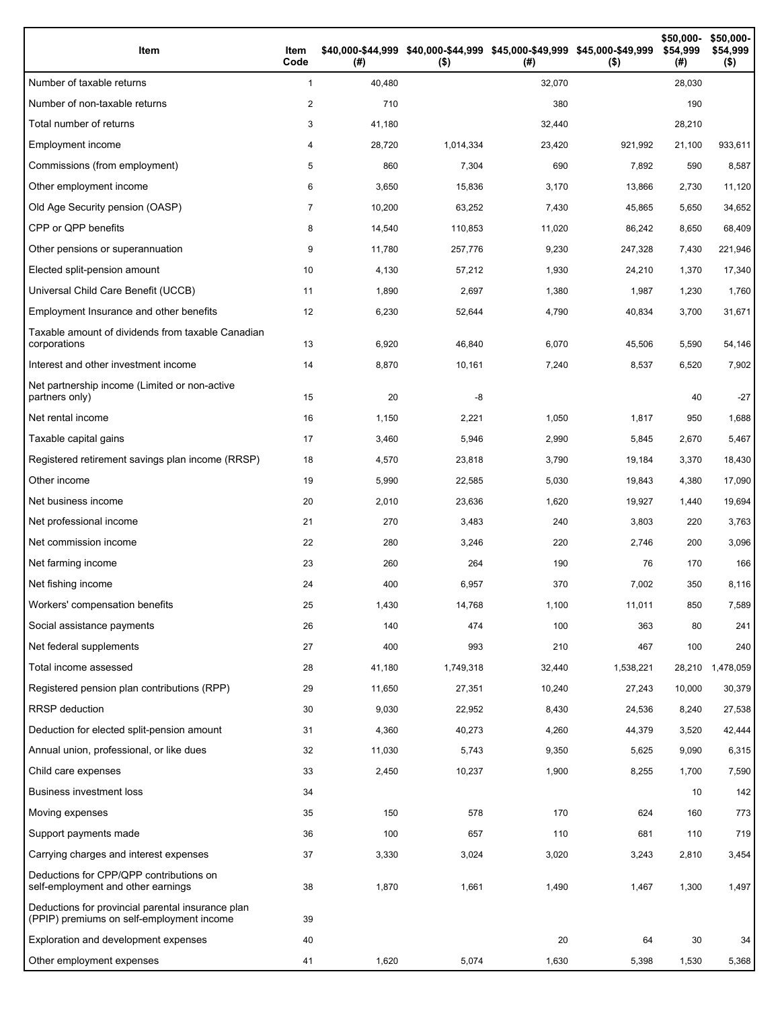| Item                                                                                           | Item<br>Code   | (#)    | \$40,000-\$44,999 \$40,000-\$44,999 \$45,000-\$49,999 \$45,000-\$49,999<br>$($ \$) | (#)    | $($ \$)   | \$50,000-<br>\$54,999<br>(#) | \$50,000-<br>\$54,999<br>$($ \$) |
|------------------------------------------------------------------------------------------------|----------------|--------|------------------------------------------------------------------------------------|--------|-----------|------------------------------|----------------------------------|
| Number of taxable returns                                                                      | $\mathbf{1}$   | 40,480 |                                                                                    | 32,070 |           | 28,030                       |                                  |
| Number of non-taxable returns                                                                  | 2              | 710    |                                                                                    | 380    |           | 190                          |                                  |
| Total number of returns                                                                        | 3              | 41,180 |                                                                                    | 32,440 |           | 28,210                       |                                  |
| Employment income                                                                              | 4              | 28,720 | 1,014,334                                                                          | 23,420 | 921,992   | 21,100                       | 933,611                          |
| Commissions (from employment)                                                                  | 5              | 860    | 7,304                                                                              | 690    | 7,892     | 590                          | 8,587                            |
| Other employment income                                                                        | 6              | 3,650  | 15,836                                                                             | 3,170  | 13,866    | 2,730                        | 11,120                           |
| Old Age Security pension (OASP)                                                                | $\overline{7}$ | 10,200 | 63,252                                                                             | 7,430  | 45,865    | 5,650                        | 34,652                           |
| CPP or QPP benefits                                                                            | 8              | 14,540 | 110,853                                                                            | 11,020 | 86,242    | 8,650                        | 68,409                           |
| Other pensions or superannuation                                                               | 9              | 11,780 | 257,776                                                                            | 9,230  | 247,328   | 7,430                        | 221,946                          |
| Elected split-pension amount                                                                   | 10             | 4,130  | 57,212                                                                             | 1,930  | 24,210    | 1,370                        | 17,340                           |
| Universal Child Care Benefit (UCCB)                                                            | 11             | 1,890  | 2,697                                                                              | 1,380  | 1,987     | 1,230                        | 1,760                            |
| Employment Insurance and other benefits                                                        | 12             | 6,230  | 52,644                                                                             | 4,790  | 40,834    | 3,700                        | 31,671                           |
| Taxable amount of dividends from taxable Canadian<br>corporations                              | 13             | 6,920  | 46,840                                                                             | 6,070  | 45,506    | 5,590                        | 54,146                           |
| Interest and other investment income                                                           | 14             | 8,870  | 10,161                                                                             | 7,240  | 8,537     | 6,520                        | 7,902                            |
| Net partnership income (Limited or non-active<br>partners only)                                | 15             | 20     | -8                                                                                 |        |           | 40                           | $-27$                            |
| Net rental income                                                                              | 16             | 1,150  | 2,221                                                                              | 1,050  | 1,817     | 950                          | 1,688                            |
| Taxable capital gains                                                                          | 17             | 3,460  | 5,946                                                                              | 2,990  | 5,845     | 2,670                        | 5,467                            |
| Registered retirement savings plan income (RRSP)                                               | 18             | 4,570  | 23,818                                                                             | 3,790  | 19,184    | 3,370                        | 18,430                           |
| Other income                                                                                   | 19             | 5,990  | 22,585                                                                             | 5,030  | 19,843    | 4,380                        | 17,090                           |
| Net business income                                                                            | 20             | 2,010  | 23,636                                                                             | 1,620  | 19,927    | 1,440                        | 19,694                           |
| Net professional income                                                                        | 21             | 270    | 3,483                                                                              | 240    | 3,803     | 220                          | 3,763                            |
| Net commission income                                                                          | 22             | 280    | 3,246                                                                              | 220    | 2,746     | 200                          | 3,096                            |
| Net farming income                                                                             | 23             | 260    | 264                                                                                | 190    | 76        | 170                          | 166                              |
| Net fishing income                                                                             | 24             | 400    | 6,957                                                                              | 370    | 7,002     | 350                          | 8,116                            |
| Workers' compensation benefits                                                                 | 25             | 1,430  | 14,768                                                                             | 1,100  | 11,011    | 850                          | 7,589                            |
| Social assistance payments                                                                     | 26             | 140    | 474                                                                                | 100    | 363       | 80                           | 241                              |
| Net federal supplements                                                                        | 27             | 400    | 993                                                                                | 210    | 467       | 100                          | 240                              |
| Total income assessed                                                                          | 28             | 41,180 | 1,749,318                                                                          | 32,440 | 1,538,221 | 28,210                       | 1,478,059                        |
| Registered pension plan contributions (RPP)                                                    | 29             | 11,650 | 27,351                                                                             | 10,240 | 27,243    | 10,000                       | 30,379                           |
| RRSP deduction                                                                                 | 30             | 9,030  | 22,952                                                                             | 8,430  | 24,536    | 8,240                        | 27,538                           |
| Deduction for elected split-pension amount                                                     | 31             | 4,360  | 40,273                                                                             | 4,260  | 44,379    | 3,520                        | 42,444                           |
| Annual union, professional, or like dues                                                       | 32             | 11,030 | 5,743                                                                              | 9,350  | 5,625     | 9,090                        | 6,315                            |
| Child care expenses                                                                            | 33             | 2,450  | 10,237                                                                             | 1,900  | 8,255     | 1,700                        | 7,590                            |
| <b>Business investment loss</b>                                                                | 34             |        |                                                                                    |        |           | 10                           | 142                              |
| Moving expenses                                                                                | 35             | 150    | 578                                                                                | 170    | 624       | 160                          | 773                              |
| Support payments made                                                                          | 36             | 100    | 657                                                                                | 110    | 681       | 110                          | 719                              |
| Carrying charges and interest expenses                                                         | 37             | 3,330  | 3,024                                                                              | 3,020  | 3,243     | 2,810                        | 3,454                            |
| Deductions for CPP/QPP contributions on<br>self-employment and other earnings                  | 38             | 1,870  | 1,661                                                                              | 1,490  | 1,467     | 1,300                        | 1,497                            |
| Deductions for provincial parental insurance plan<br>(PPIP) premiums on self-employment income | 39             |        |                                                                                    |        |           |                              |                                  |
| Exploration and development expenses                                                           | 40             |        |                                                                                    | 20     | 64        | 30                           | 34                               |
| Other employment expenses                                                                      | 41             | 1,620  | 5,074                                                                              | 1,630  | 5,398     | 1,530                        | 5,368                            |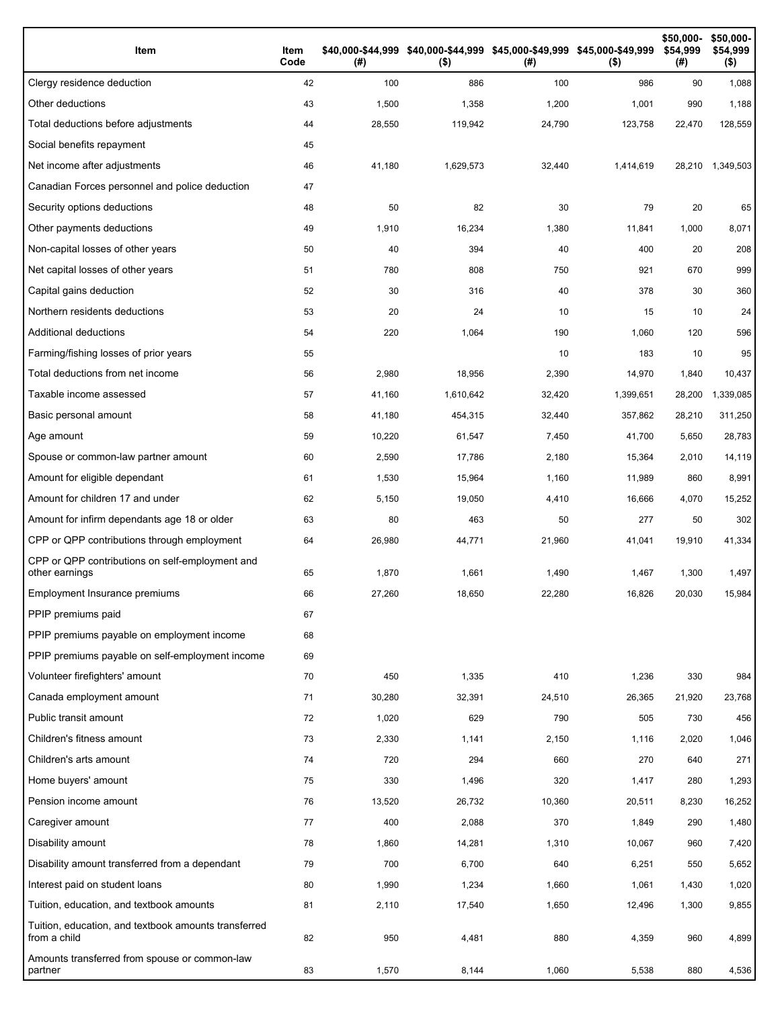| Item                                                                 | Item<br>Code | (#)    | \$40,000-\$44,999 \$40,000-\$44,999 \$45,000-\$49,999 \$45,000-\$49,999<br>$($ \$) | (# )   | $($ \$)   | \$50,000-<br>\$54,999<br>(#) | \$50,000-<br>\$54,999<br>$($ \$) |
|----------------------------------------------------------------------|--------------|--------|------------------------------------------------------------------------------------|--------|-----------|------------------------------|----------------------------------|
| Clergy residence deduction                                           | 42           | 100    | 886                                                                                | 100    | 986       | 90                           | 1,088                            |
| Other deductions                                                     | 43           | 1,500  | 1,358                                                                              | 1,200  | 1,001     | 990                          | 1,188                            |
| Total deductions before adjustments                                  | 44           | 28,550 | 119,942                                                                            | 24,790 | 123,758   | 22,470                       | 128,559                          |
| Social benefits repayment                                            | 45           |        |                                                                                    |        |           |                              |                                  |
| Net income after adjustments                                         | 46           | 41,180 | 1,629,573                                                                          | 32,440 | 1,414,619 | 28,210                       | 1,349,503                        |
| Canadian Forces personnel and police deduction                       | 47           |        |                                                                                    |        |           |                              |                                  |
| Security options deductions                                          | 48           | 50     | 82                                                                                 | 30     | 79        | 20                           | 65                               |
| Other payments deductions                                            | 49           | 1,910  | 16,234                                                                             | 1,380  | 11,841    | 1,000                        | 8,071                            |
| Non-capital losses of other years                                    | 50           | 40     | 394                                                                                | 40     | 400       | 20                           | 208                              |
| Net capital losses of other years                                    | 51           | 780    | 808                                                                                | 750    | 921       | 670                          | 999                              |
| Capital gains deduction                                              | 52           | 30     | 316                                                                                | 40     | 378       | 30                           | 360                              |
| Northern residents deductions                                        | 53           | 20     | 24                                                                                 | 10     | 15        | 10                           | 24                               |
| Additional deductions                                                | 54           | 220    | 1,064                                                                              | 190    | 1,060     | 120                          | 596                              |
| Farming/fishing losses of prior years                                | 55           |        |                                                                                    | 10     | 183       | 10                           | 95                               |
| Total deductions from net income                                     | 56           | 2,980  | 18,956                                                                             | 2,390  | 14,970    | 1,840                        | 10,437                           |
| Taxable income assessed                                              | 57           | 41,160 | 1,610,642                                                                          | 32,420 | 1,399,651 | 28,200                       | 1,339,085                        |
| Basic personal amount                                                | 58           | 41,180 | 454,315                                                                            | 32,440 | 357,862   | 28,210                       | 311,250                          |
| Age amount                                                           | 59           | 10,220 | 61,547                                                                             | 7,450  | 41,700    | 5,650                        | 28,783                           |
| Spouse or common-law partner amount                                  | 60           | 2,590  | 17,786                                                                             | 2,180  | 15,364    | 2,010                        | 14,119                           |
| Amount for eligible dependant                                        | 61           | 1,530  | 15,964                                                                             | 1,160  | 11,989    | 860                          | 8,991                            |
| Amount for children 17 and under                                     | 62           | 5,150  | 19,050                                                                             | 4,410  | 16,666    | 4,070                        | 15,252                           |
| Amount for infirm dependants age 18 or older                         | 63           | 80     | 463                                                                                | 50     | 277       | 50                           | 302                              |
| CPP or QPP contributions through employment                          | 64           | 26,980 | 44,771                                                                             | 21,960 | 41,041    | 19,910                       | 41,334                           |
| CPP or QPP contributions on self-employment and<br>other earnings    | 65           | 1,870  | 1,661                                                                              | 1,490  | 1,467     | 1,300                        | 1,497                            |
| Employment Insurance premiums                                        | 66           | 27,260 | 18,650                                                                             | 22.280 | 16,826    | 20,030                       | 15,984                           |
| PPIP premiums paid                                                   | 67           |        |                                                                                    |        |           |                              |                                  |
| PPIP premiums payable on employment income                           | 68           |        |                                                                                    |        |           |                              |                                  |
| PPIP premiums payable on self-employment income                      | 69           |        |                                                                                    |        |           |                              |                                  |
| Volunteer firefighters' amount                                       | 70           | 450    | 1,335                                                                              | 410    | 1,236     | 330                          | 984                              |
| Canada employment amount                                             | 71           | 30,280 | 32,391                                                                             | 24,510 | 26,365    | 21,920                       | 23,768                           |
| Public transit amount                                                | 72           | 1,020  | 629                                                                                | 790    | 505       | 730                          | 456                              |
| Children's fitness amount                                            | 73           | 2,330  | 1,141                                                                              | 2,150  | 1,116     | 2,020                        | 1,046                            |
| Children's arts amount                                               | 74           | 720    | 294                                                                                | 660    | 270       | 640                          | 271                              |
| Home buyers' amount                                                  | 75           | 330    | 1,496                                                                              | 320    | 1,417     | 280                          | 1,293                            |
| Pension income amount                                                | 76           | 13,520 | 26,732                                                                             | 10,360 | 20,511    | 8,230                        | 16,252                           |
| Caregiver amount                                                     | 77           | 400    | 2,088                                                                              | 370    | 1,849     | 290                          | 1,480                            |
| Disability amount                                                    | 78           | 1,860  | 14,281                                                                             | 1,310  | 10,067    | 960                          | 7,420                            |
| Disability amount transferred from a dependant                       | 79           | 700    | 6,700                                                                              | 640    | 6,251     | 550                          | 5,652                            |
| Interest paid on student loans                                       | 80           | 1,990  | 1,234                                                                              | 1,660  | 1,061     | 1,430                        | 1,020                            |
| Tuition, education, and textbook amounts                             | 81           | 2,110  | 17,540                                                                             | 1,650  | 12,496    | 1,300                        | 9,855                            |
| Tuition, education, and textbook amounts transferred<br>from a child | 82           | 950    | 4,481                                                                              | 880    | 4,359     | 960                          | 4,899                            |
| Amounts transferred from spouse or common-law<br>partner             | 83           | 1,570  | 8,144                                                                              | 1,060  | 5,538     | 880                          | 4,536                            |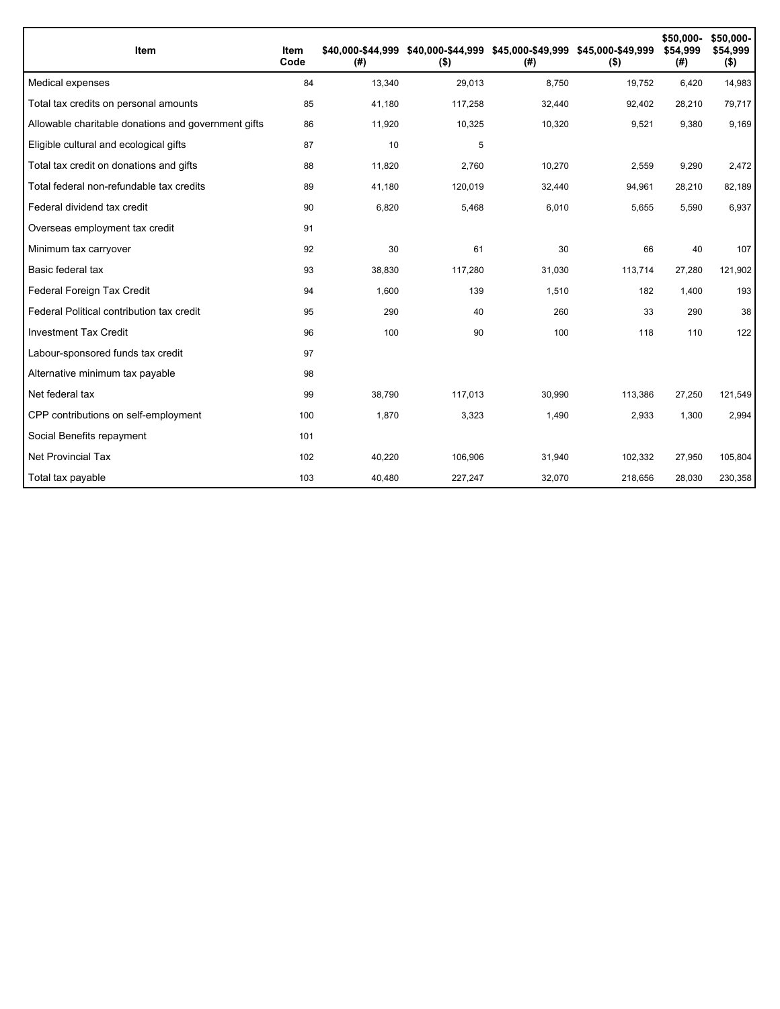| <b>Item</b>                                         | Item<br>Code | \$40.000-\$44.999<br>(# ) | $($ \$) | \$40,000-\$44,999 \$45,000-\$49,999 \$45,000-\$49,999<br>(# ) | $($ \$) | \$50,000-<br>\$54.999<br>(#) | \$50,000-<br>\$54,999<br>$($ \$) |
|-----------------------------------------------------|--------------|---------------------------|---------|---------------------------------------------------------------|---------|------------------------------|----------------------------------|
| Medical expenses                                    | 84           | 13,340                    | 29,013  | 8,750                                                         | 19,752  | 6,420                        | 14,983                           |
| Total tax credits on personal amounts               | 85           | 41,180                    | 117,258 | 32,440                                                        | 92,402  | 28,210                       | 79,717                           |
| Allowable charitable donations and government gifts | 86           | 11,920                    | 10,325  | 10,320                                                        | 9,521   | 9,380                        | 9,169                            |
| Eligible cultural and ecological gifts              | 87           | 10                        | 5       |                                                               |         |                              |                                  |
| Total tax credit on donations and gifts             | 88           | 11,820                    | 2,760   | 10,270                                                        | 2,559   | 9,290                        | 2,472                            |
| Total federal non-refundable tax credits            | 89           | 41,180                    | 120,019 | 32,440                                                        | 94,961  | 28,210                       | 82,189                           |
| Federal dividend tax credit                         | 90           | 6,820                     | 5,468   | 6,010                                                         | 5,655   | 5,590                        | 6,937                            |
| Overseas employment tax credit                      | 91           |                           |         |                                                               |         |                              |                                  |
| Minimum tax carryover                               | 92           | 30                        | 61      | 30                                                            | 66      | 40                           | 107                              |
| Basic federal tax                                   | 93           | 38,830                    | 117,280 | 31,030                                                        | 113,714 | 27,280                       | 121,902                          |
| Federal Foreign Tax Credit                          | 94           | 1,600                     | 139     | 1,510                                                         | 182     | 1,400                        | 193                              |
| Federal Political contribution tax credit           | 95           | 290                       | 40      | 260                                                           | 33      | 290                          | 38                               |
| <b>Investment Tax Credit</b>                        | 96           | 100                       | 90      | 100                                                           | 118     | 110                          | 122                              |
| Labour-sponsored funds tax credit                   | 97           |                           |         |                                                               |         |                              |                                  |
| Alternative minimum tax payable                     | 98           |                           |         |                                                               |         |                              |                                  |
| Net federal tax                                     | 99           | 38,790                    | 117,013 | 30,990                                                        | 113,386 | 27,250                       | 121,549                          |
| CPP contributions on self-employment                | 100          | 1,870                     | 3,323   | 1,490                                                         | 2,933   | 1,300                        | 2,994                            |
| Social Benefits repayment                           | 101          |                           |         |                                                               |         |                              |                                  |
| <b>Net Provincial Tax</b>                           | 102          | 40,220                    | 106,906 | 31,940                                                        | 102,332 | 27,950                       | 105,804                          |
| Total tax payable                                   | 103          | 40,480                    | 227,247 | 32,070                                                        | 218,656 | 28,030                       | 230,358                          |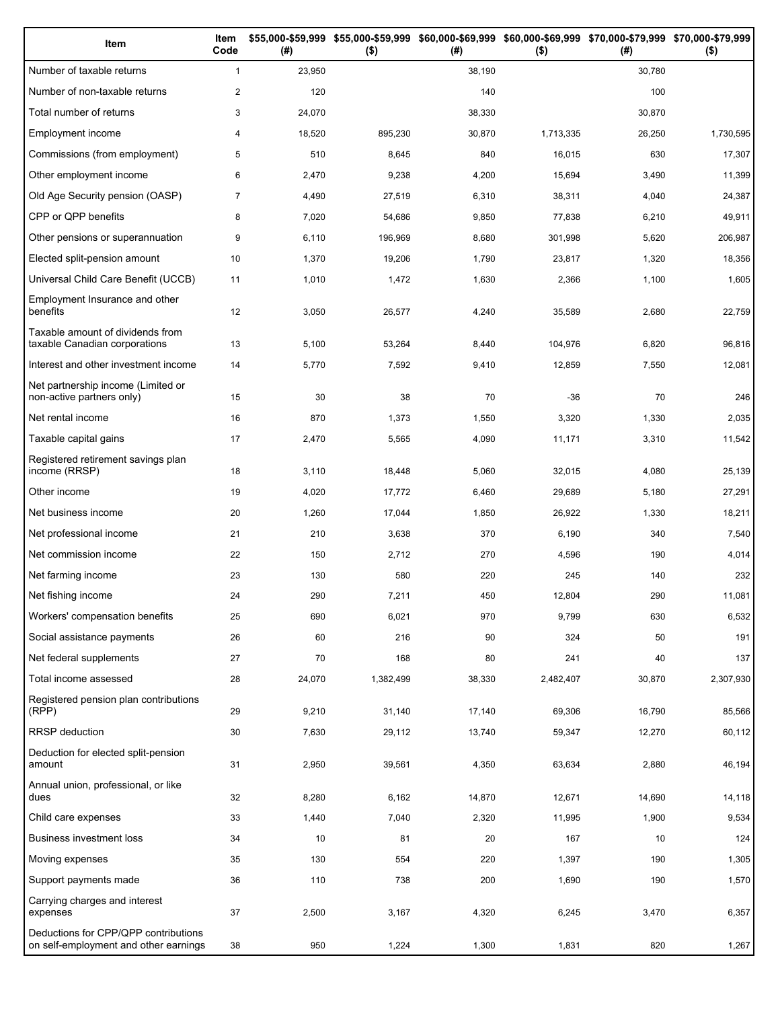| Item                                                                          | Item<br>Code   | (# )   | \$55,000-\$59,999 \$55,000-\$59,999 \$60,000-\$69,999 \$60,000-\$69,999 \$70,000-\$79,999 \$70,000-\$79,999<br>$($ \$) | (# )   | $($ \$)   | (# )   | $($ \$)   |
|-------------------------------------------------------------------------------|----------------|--------|------------------------------------------------------------------------------------------------------------------------|--------|-----------|--------|-----------|
| Number of taxable returns                                                     | $\mathbf{1}$   | 23,950 |                                                                                                                        | 38,190 |           | 30,780 |           |
| Number of non-taxable returns                                                 | $\overline{c}$ | 120    |                                                                                                                        | 140    |           | 100    |           |
| Total number of returns                                                       | 3              | 24,070 |                                                                                                                        | 38,330 |           | 30,870 |           |
| Employment income                                                             | 4              | 18,520 | 895,230                                                                                                                | 30,870 | 1,713,335 | 26,250 | 1,730,595 |
| Commissions (from employment)                                                 | 5              | 510    | 8,645                                                                                                                  | 840    | 16,015    | 630    | 17,307    |
| Other employment income                                                       | 6              | 2,470  | 9,238                                                                                                                  | 4,200  | 15,694    | 3,490  | 11,399    |
| Old Age Security pension (OASP)                                               | $\overline{7}$ | 4,490  | 27,519                                                                                                                 | 6,310  | 38,311    | 4,040  | 24,387    |
| CPP or QPP benefits                                                           | 8              | 7,020  | 54,686                                                                                                                 | 9,850  | 77,838    | 6,210  | 49,911    |
| Other pensions or superannuation                                              | 9              | 6,110  | 196,969                                                                                                                | 8,680  | 301,998   | 5,620  | 206,987   |
| Elected split-pension amount                                                  | 10             | 1,370  | 19,206                                                                                                                 | 1,790  | 23,817    | 1,320  | 18,356    |
| Universal Child Care Benefit (UCCB)                                           | 11             | 1,010  | 1,472                                                                                                                  | 1,630  | 2,366     | 1,100  | 1,605     |
| Employment Insurance and other<br>benefits                                    | 12             | 3,050  | 26,577                                                                                                                 | 4,240  | 35,589    | 2,680  | 22,759    |
| Taxable amount of dividends from<br>taxable Canadian corporations             | 13             | 5,100  | 53,264                                                                                                                 | 8,440  | 104,976   | 6,820  | 96,816    |
| Interest and other investment income                                          | 14             | 5,770  | 7,592                                                                                                                  | 9,410  | 12,859    | 7,550  | 12,081    |
| Net partnership income (Limited or<br>non-active partners only)               | 15             | 30     | 38                                                                                                                     | 70     | $-36$     | 70     | 246       |
| Net rental income                                                             | 16             | 870    | 1,373                                                                                                                  | 1,550  | 3,320     | 1,330  | 2,035     |
| Taxable capital gains                                                         | 17             | 2,470  | 5,565                                                                                                                  | 4,090  | 11,171    | 3,310  | 11,542    |
| Registered retirement savings plan<br>income (RRSP)                           | 18             | 3,110  | 18,448                                                                                                                 | 5,060  | 32,015    | 4,080  | 25,139    |
| Other income                                                                  | 19             | 4,020  | 17,772                                                                                                                 | 6,460  | 29,689    | 5,180  | 27,291    |
| Net business income                                                           | 20             | 1,260  | 17,044                                                                                                                 | 1,850  | 26,922    | 1,330  | 18,211    |
| Net professional income                                                       | 21             | 210    | 3,638                                                                                                                  | 370    | 6,190     | 340    | 7,540     |
| Net commission income                                                         | 22             | 150    | 2,712                                                                                                                  | 270    | 4,596     | 190    | 4,014     |
| Net farming income                                                            | 23             | 130    | 580                                                                                                                    | 220    | 245       | 140    | 232       |
| Net fishing income                                                            | 24             | 290    | 7,211                                                                                                                  | 450    | 12,804    | 290    | 11,081    |
| Workers' compensation benefits                                                | 25             | 690    | 6,021                                                                                                                  | 970    | 9,799     | 630    | 6,532     |
| Social assistance payments                                                    | 26             | 60     | 216                                                                                                                    | 90     | 324       | 50     | 191       |
| Net federal supplements                                                       | 27             | 70     | 168                                                                                                                    | 80     | 241       | 40     | 137       |
| Total income assessed                                                         | 28             | 24,070 | 1,382,499                                                                                                              | 38,330 | 2,482,407 | 30,870 | 2,307,930 |
| Registered pension plan contributions<br>(RPP)                                | 29             | 9,210  | 31,140                                                                                                                 | 17,140 | 69,306    | 16,790 | 85,566    |
| RRSP deduction                                                                | 30             | 7,630  | 29,112                                                                                                                 | 13,740 | 59,347    | 12,270 | 60,112    |
| Deduction for elected split-pension<br>amount                                 | 31             | 2,950  | 39,561                                                                                                                 | 4,350  | 63,634    | 2,880  | 46,194    |
| Annual union, professional, or like<br>dues                                   | 32             | 8,280  | 6,162                                                                                                                  | 14,870 | 12,671    | 14,690 | 14,118    |
| Child care expenses                                                           | 33             | 1,440  | 7,040                                                                                                                  | 2,320  | 11,995    | 1,900  | 9,534     |
| Business investment loss                                                      | 34             | 10     | 81                                                                                                                     | 20     | 167       | 10     | 124       |
| Moving expenses                                                               | 35             | 130    | 554                                                                                                                    | 220    | 1,397     | 190    | 1,305     |
| Support payments made                                                         | 36             | 110    | 738                                                                                                                    | 200    | 1,690     | 190    | 1,570     |
| Carrying charges and interest<br>expenses                                     | 37             | 2,500  | 3,167                                                                                                                  | 4,320  | 6,245     | 3,470  | 6,357     |
| Deductions for CPP/QPP contributions<br>on self-employment and other earnings | 38             | 950    | 1,224                                                                                                                  | 1,300  | 1,831     | 820    | 1,267     |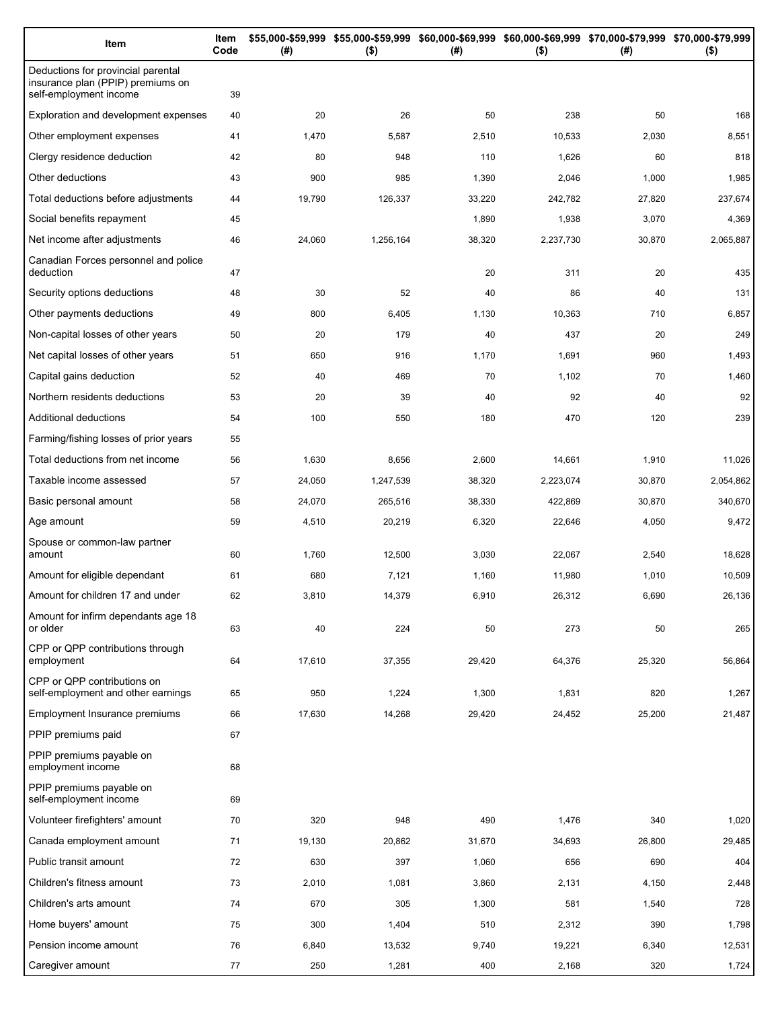| Item                                                                                              | Item<br>Code | (#)    | $($ \$)   | \$55,000-\$59,999 \$55,000-\$59,999 \$60,000-\$69,999 \$60,000-\$69,999 \$70,000-\$79,999 \$70,000-\$79,999<br>(#) | $($ \$)   | (#)    | $($ \$)   |
|---------------------------------------------------------------------------------------------------|--------------|--------|-----------|--------------------------------------------------------------------------------------------------------------------|-----------|--------|-----------|
| Deductions for provincial parental<br>insurance plan (PPIP) premiums on<br>self-employment income | 39           |        |           |                                                                                                                    |           |        |           |
| Exploration and development expenses                                                              | 40           | 20     | 26        | 50                                                                                                                 | 238       | 50     | 168       |
| Other employment expenses                                                                         | 41           | 1,470  | 5,587     | 2,510                                                                                                              | 10,533    | 2,030  | 8,551     |
| Clergy residence deduction                                                                        | 42           | 80     | 948       | 110                                                                                                                | 1,626     | 60     | 818       |
| Other deductions                                                                                  | 43           | 900    | 985       | 1,390                                                                                                              | 2,046     | 1,000  | 1,985     |
| Total deductions before adjustments                                                               | 44           | 19,790 | 126,337   | 33,220                                                                                                             | 242,782   | 27,820 | 237,674   |
| Social benefits repayment                                                                         | 45           |        |           | 1,890                                                                                                              | 1,938     | 3,070  | 4,369     |
| Net income after adjustments                                                                      | 46           | 24,060 | 1,256,164 | 38,320                                                                                                             | 2,237,730 | 30,870 | 2,065,887 |
| Canadian Forces personnel and police<br>deduction                                                 | 47           |        |           | 20                                                                                                                 | 311       | 20     | 435       |
| Security options deductions                                                                       | 48           | 30     | 52        | 40                                                                                                                 | 86        | 40     | 131       |
| Other payments deductions                                                                         | 49           | 800    | 6,405     | 1,130                                                                                                              | 10,363    | 710    | 6,857     |
| Non-capital losses of other years                                                                 | 50           | 20     | 179       | 40                                                                                                                 | 437       | 20     | 249       |
| Net capital losses of other years                                                                 | 51           | 650    | 916       | 1,170                                                                                                              | 1,691     | 960    | 1,493     |
| Capital gains deduction                                                                           | 52           | 40     | 469       | 70                                                                                                                 | 1,102     | 70     | 1,460     |
| Northern residents deductions                                                                     | 53           | 20     | 39        | 40                                                                                                                 | 92        | 40     | 92        |
| Additional deductions                                                                             | 54           | 100    | 550       | 180                                                                                                                | 470       | 120    | 239       |
| Farming/fishing losses of prior years                                                             | 55           |        |           |                                                                                                                    |           |        |           |
| Total deductions from net income                                                                  | 56           | 1,630  | 8,656     | 2,600                                                                                                              | 14,661    | 1,910  | 11,026    |
| Taxable income assessed                                                                           | 57           | 24,050 | 1,247,539 | 38,320                                                                                                             | 2,223,074 | 30,870 | 2,054,862 |
| Basic personal amount                                                                             | 58           | 24,070 | 265,516   | 38,330                                                                                                             | 422,869   | 30,870 | 340,670   |
| Age amount                                                                                        | 59           | 4,510  | 20,219    | 6,320                                                                                                              | 22,646    | 4,050  | 9,472     |
| Spouse or common-law partner<br>amount                                                            | 60           | 1,760  | 12,500    | 3,030                                                                                                              | 22,067    | 2,540  | 18,628    |
| Amount for eligible dependant                                                                     | 61           | 680    | 7,121     | 1,160                                                                                                              | 11,980    | 1,010  | 10,509    |
| Amount for children 17 and under                                                                  | 62           | 3,810  | 14,379    | 6,910                                                                                                              | 26,312    | 6,690  | 26,136    |
| Amount for infirm dependants age 18<br>or older                                                   | 63           | 40     | 224       | 50                                                                                                                 | 273       | 50     | 265       |
| CPP or QPP contributions through<br>employment                                                    | 64           | 17,610 | 37,355    | 29,420                                                                                                             | 64,376    | 25,320 | 56,864    |
| CPP or QPP contributions on<br>self-employment and other earnings                                 | 65           | 950    | 1,224     | 1,300                                                                                                              | 1,831     | 820    | 1,267     |
| Employment Insurance premiums                                                                     | 66           | 17,630 | 14,268    | 29,420                                                                                                             | 24,452    | 25,200 | 21,487    |
| PPIP premiums paid                                                                                | 67           |        |           |                                                                                                                    |           |        |           |
| PPIP premiums payable on<br>employment income                                                     | 68           |        |           |                                                                                                                    |           |        |           |
| PPIP premiums payable on<br>self-employment income                                                | 69           |        |           |                                                                                                                    |           |        |           |
| Volunteer firefighters' amount                                                                    | 70           | 320    | 948       | 490                                                                                                                | 1,476     | 340    | 1,020     |
| Canada employment amount                                                                          | 71           | 19,130 | 20,862    | 31,670                                                                                                             | 34,693    | 26,800 | 29,485    |
| Public transit amount                                                                             | 72           | 630    | 397       | 1,060                                                                                                              | 656       | 690    | 404       |
| Children's fitness amount                                                                         | 73           | 2,010  | 1,081     | 3,860                                                                                                              | 2,131     | 4,150  | 2,448     |
| Children's arts amount                                                                            | 74           | 670    | 305       | 1,300                                                                                                              | 581       | 1,540  | 728       |
| Home buyers' amount                                                                               | 75           | 300    | 1,404     | 510                                                                                                                | 2,312     | 390    | 1,798     |
| Pension income amount                                                                             | 76           | 6,840  | 13,532    | 9,740                                                                                                              | 19,221    | 6,340  | 12,531    |
| Caregiver amount                                                                                  | 77           | 250    | 1,281     | 400                                                                                                                | 2,168     | 320    | 1,724     |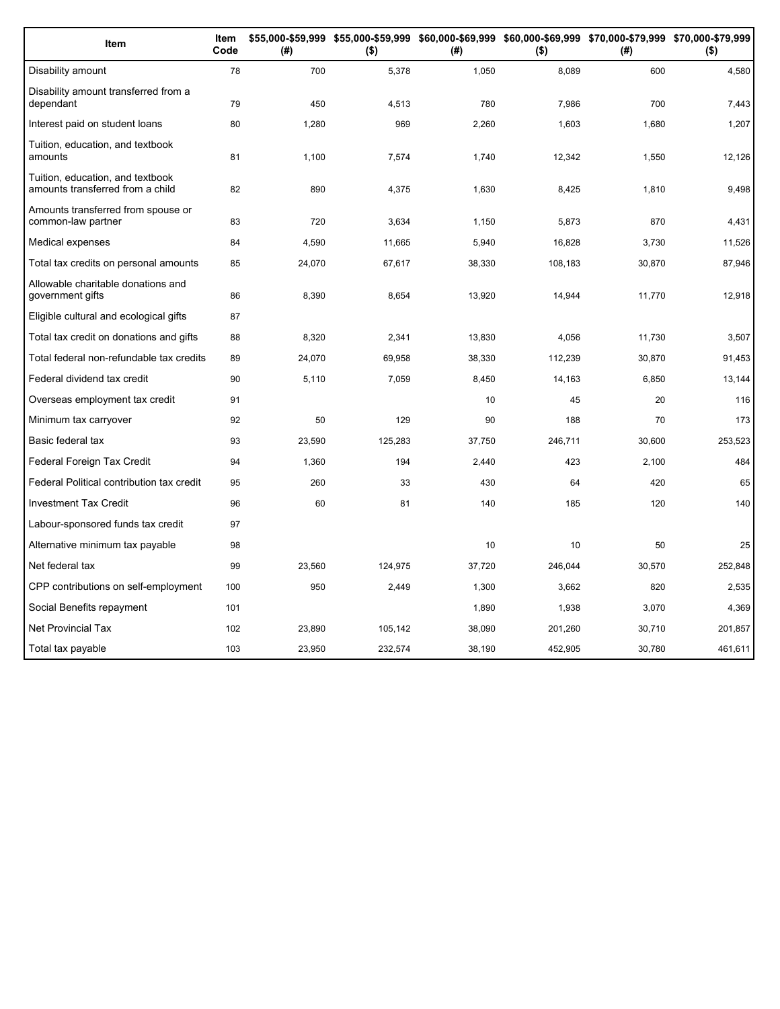| Item                                                                 | Item<br>Code | (#)    | \$55,000-\$59,999 \$55,000-\$59,999 \$60,000-\$69,999 \$60,000-\$69,999 \$70,000-\$79,999 \$70,000-\$79,999<br>$($ \$) | (#)    | $($ \$) | (# )   | $($ \$) |
|----------------------------------------------------------------------|--------------|--------|------------------------------------------------------------------------------------------------------------------------|--------|---------|--------|---------|
| Disability amount                                                    | 78           | 700    | 5,378                                                                                                                  | 1,050  | 8,089   | 600    | 4,580   |
| Disability amount transferred from a<br>dependant                    | 79           | 450    | 4,513                                                                                                                  | 780    | 7,986   | 700    | 7,443   |
| Interest paid on student loans                                       | 80           | 1,280  | 969                                                                                                                    | 2,260  | 1,603   | 1,680  | 1,207   |
| Tuition, education, and textbook<br>amounts                          | 81           | 1,100  | 7,574                                                                                                                  | 1,740  | 12,342  | 1,550  | 12,126  |
| Tuition, education, and textbook<br>amounts transferred from a child | 82           | 890    | 4,375                                                                                                                  | 1,630  | 8,425   | 1,810  | 9,498   |
| Amounts transferred from spouse or<br>common-law partner             | 83           | 720    | 3,634                                                                                                                  | 1,150  | 5,873   | 870    | 4,431   |
| Medical expenses                                                     | 84           | 4,590  | 11,665                                                                                                                 | 5,940  | 16,828  | 3,730  | 11,526  |
| Total tax credits on personal amounts                                | 85           | 24,070 | 67,617                                                                                                                 | 38,330 | 108,183 | 30,870 | 87,946  |
| Allowable charitable donations and<br>government gifts               | 86           | 8,390  | 8,654                                                                                                                  | 13,920 | 14,944  | 11,770 | 12,918  |
| Eligible cultural and ecological gifts                               | 87           |        |                                                                                                                        |        |         |        |         |
| Total tax credit on donations and gifts                              | 88           | 8,320  | 2,341                                                                                                                  | 13,830 | 4,056   | 11,730 | 3,507   |
| Total federal non-refundable tax credits                             | 89           | 24,070 | 69,958                                                                                                                 | 38,330 | 112,239 | 30,870 | 91,453  |
| Federal dividend tax credit                                          | 90           | 5,110  | 7,059                                                                                                                  | 8,450  | 14,163  | 6,850  | 13,144  |
| Overseas employment tax credit                                       | 91           |        |                                                                                                                        | 10     | 45      | 20     | 116     |
| Minimum tax carryover                                                | 92           | 50     | 129                                                                                                                    | 90     | 188     | 70     | 173     |
| Basic federal tax                                                    | 93           | 23,590 | 125,283                                                                                                                | 37,750 | 246,711 | 30,600 | 253,523 |
| Federal Foreign Tax Credit                                           | 94           | 1,360  | 194                                                                                                                    | 2,440  | 423     | 2.100  | 484     |
| Federal Political contribution tax credit                            | 95           | 260    | 33                                                                                                                     | 430    | 64      | 420    | 65      |
| <b>Investment Tax Credit</b>                                         | 96           | 60     | 81                                                                                                                     | 140    | 185     | 120    | 140     |
| Labour-sponsored funds tax credit                                    | 97           |        |                                                                                                                        |        |         |        |         |
| Alternative minimum tax payable                                      | 98           |        |                                                                                                                        | 10     | 10      | 50     | 25      |
| Net federal tax                                                      | 99           | 23,560 | 124,975                                                                                                                | 37,720 | 246,044 | 30,570 | 252,848 |
| CPP contributions on self-employment                                 | 100          | 950    | 2,449                                                                                                                  | 1,300  | 3,662   | 820    | 2,535   |
| Social Benefits repayment                                            | 101          |        |                                                                                                                        | 1,890  | 1,938   | 3,070  | 4,369   |
| <b>Net Provincial Tax</b>                                            | 102          | 23,890 | 105,142                                                                                                                | 38,090 | 201,260 | 30,710 | 201,857 |
| Total tax payable                                                    | 103          | 23.950 | 232.574                                                                                                                | 38,190 | 452,905 | 30.780 | 461,611 |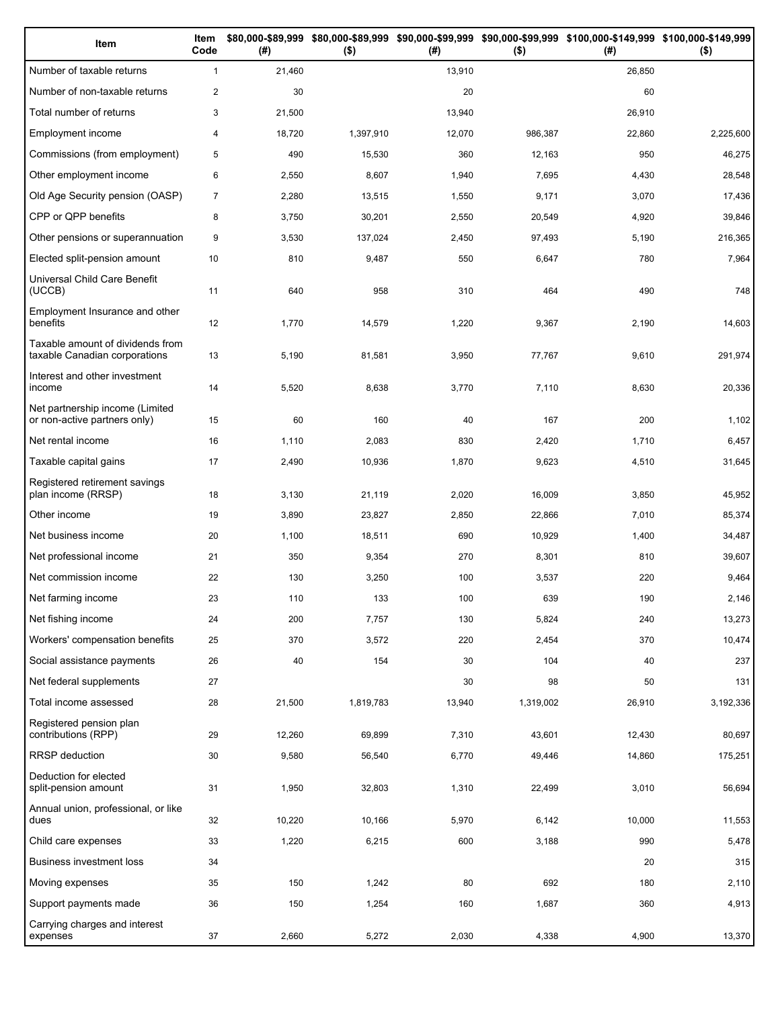| Item                                                              | Item<br>Code   | (# )   | $($ \$)   | (# )   | $($ \$)   | \$80,000-\$89,999 \$80,000-\$89,999 \$90,000-\$99,999 \$90,000-\$99,999 \$100,000-\$149,999 \$100,000-\$149,999<br>(#) | $($ \$)   |
|-------------------------------------------------------------------|----------------|--------|-----------|--------|-----------|------------------------------------------------------------------------------------------------------------------------|-----------|
| Number of taxable returns                                         | $\mathbf{1}$   | 21,460 |           | 13,910 |           | 26,850                                                                                                                 |           |
| Number of non-taxable returns                                     | $\overline{2}$ | 30     |           | 20     |           | 60                                                                                                                     |           |
| Total number of returns                                           | 3              | 21,500 |           | 13,940 |           | 26,910                                                                                                                 |           |
| Employment income                                                 | 4              | 18,720 | 1,397,910 | 12,070 | 986,387   | 22,860                                                                                                                 | 2,225,600 |
| Commissions (from employment)                                     | 5              | 490    | 15,530    | 360    | 12,163    | 950                                                                                                                    | 46,275    |
| Other employment income                                           | 6              | 2,550  | 8,607     | 1,940  | 7,695     | 4,430                                                                                                                  | 28,548    |
| Old Age Security pension (OASP)                                   | $\overline{7}$ | 2,280  | 13,515    | 1,550  | 9,171     | 3,070                                                                                                                  | 17,436    |
| CPP or QPP benefits                                               | 8              | 3,750  | 30,201    | 2,550  | 20,549    | 4,920                                                                                                                  | 39,846    |
| Other pensions or superannuation                                  | 9              | 3,530  | 137,024   | 2,450  | 97,493    | 5,190                                                                                                                  | 216,365   |
| Elected split-pension amount                                      | 10             | 810    | 9,487     | 550    | 6,647     | 780                                                                                                                    | 7,964     |
| Universal Child Care Benefit<br>(UCCB)                            | 11             | 640    | 958       | 310    | 464       | 490                                                                                                                    | 748       |
| Employment Insurance and other<br>benefits                        | 12             | 1,770  | 14,579    | 1,220  | 9,367     | 2,190                                                                                                                  | 14,603    |
| Taxable amount of dividends from<br>taxable Canadian corporations | 13             | 5,190  | 81,581    | 3,950  | 77,767    | 9,610                                                                                                                  | 291,974   |
| Interest and other investment<br>income                           | 14             | 5,520  | 8,638     | 3,770  | 7,110     | 8,630                                                                                                                  | 20,336    |
| Net partnership income (Limited<br>or non-active partners only)   | 15             | 60     | 160       | 40     | 167       | 200                                                                                                                    | 1,102     |
| Net rental income                                                 | 16             | 1,110  | 2,083     | 830    | 2,420     | 1,710                                                                                                                  | 6,457     |
| Taxable capital gains                                             | 17             | 2,490  | 10,936    | 1,870  | 9,623     | 4,510                                                                                                                  | 31,645    |
| Registered retirement savings<br>plan income (RRSP)               | 18             | 3,130  | 21,119    | 2,020  | 16,009    | 3,850                                                                                                                  | 45,952    |
| Other income                                                      | 19             | 3,890  | 23,827    | 2,850  | 22,866    | 7,010                                                                                                                  | 85,374    |
| Net business income                                               | 20             | 1,100  | 18,511    | 690    | 10,929    | 1,400                                                                                                                  | 34,487    |
| Net professional income                                           | 21             | 350    | 9,354     | 270    | 8,301     | 810                                                                                                                    | 39,607    |
| Net commission income                                             | 22             | 130    | 3,250     | 100    | 3,537     | 220                                                                                                                    | 9,464     |
| Net farming income                                                | 23             | 110    | 133       | 100    | 639       | 190                                                                                                                    | 2,146     |
| Net fishing income                                                | 24             | 200    | 7,757     | 130    | 5,824     | 240                                                                                                                    | 13,273    |
| Workers' compensation benefits                                    | 25             | 370    | 3,572     | 220    | 2,454     | 370                                                                                                                    | 10,474    |
| Social assistance payments                                        | 26             | 40     | 154       | 30     | 104       | 40                                                                                                                     | 237       |
| Net federal supplements                                           | 27             |        |           | 30     | 98        | 50                                                                                                                     | 131       |
| Total income assessed                                             | 28             | 21,500 | 1,819,783 | 13,940 | 1,319,002 | 26,910                                                                                                                 | 3,192,336 |
| Registered pension plan<br>contributions (RPP)                    | 29             | 12,260 | 69,899    | 7,310  | 43,601    | 12,430                                                                                                                 | 80,697    |
| <b>RRSP</b> deduction                                             | 30             | 9,580  | 56,540    | 6,770  | 49,446    | 14,860                                                                                                                 | 175,251   |
| Deduction for elected<br>split-pension amount                     | 31             | 1,950  | 32,803    | 1,310  | 22,499    | 3,010                                                                                                                  | 56,694    |
| Annual union, professional, or like<br>dues                       | 32             | 10,220 | 10,166    | 5,970  | 6,142     | 10,000                                                                                                                 | 11,553    |
| Child care expenses                                               | 33             | 1,220  | 6,215     | 600    | 3,188     | 990                                                                                                                    | 5,478     |
| <b>Business investment loss</b>                                   | 34             |        |           |        |           | 20                                                                                                                     | 315       |
| Moving expenses                                                   | 35             | 150    | 1,242     | 80     | 692       | 180                                                                                                                    | 2,110     |
| Support payments made                                             | 36             | 150    | 1,254     | 160    | 1,687     | 360                                                                                                                    | 4,913     |
| Carrying charges and interest<br>expenses                         | 37             | 2,660  | 5,272     | 2,030  | 4,338     | 4,900                                                                                                                  | 13,370    |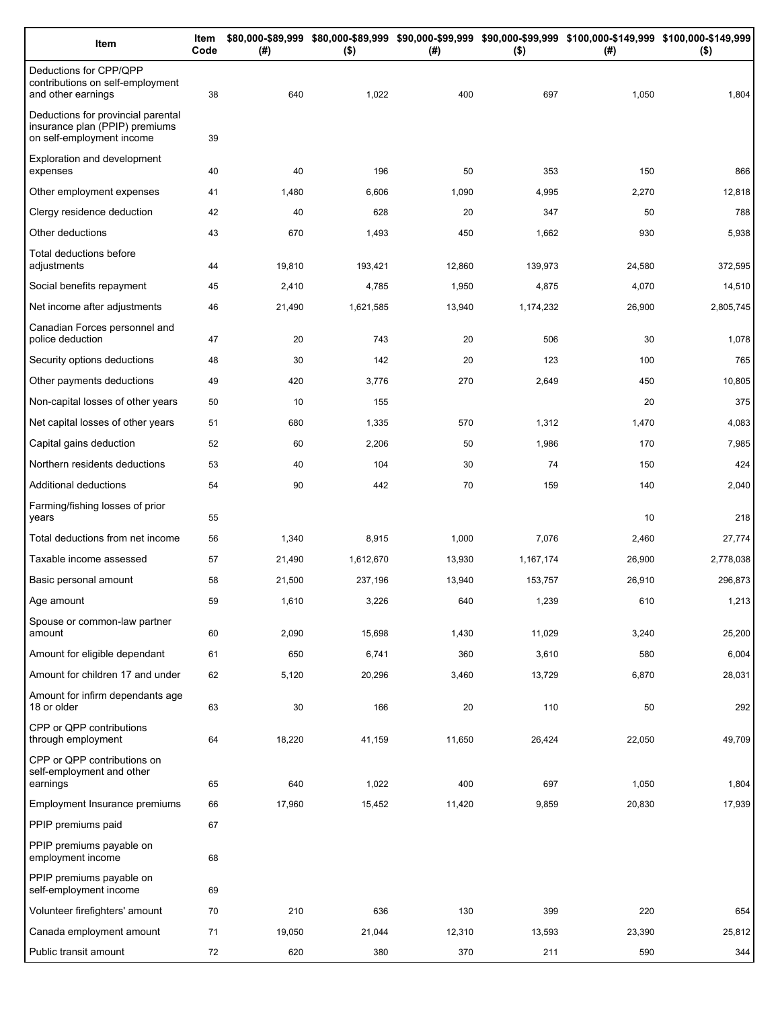| Item                                                                                              | Item<br>Code | (# )   | $($ \$)   | (#)    | $($ \$)   | \$80,000-\$89,999 \$80,000-\$89,999 \$90,000-\$99,999 \$90,000-\$99,999 \$100,000-\$149,999 \$100,000-\$149,999<br>(#) | $($ \$)   |
|---------------------------------------------------------------------------------------------------|--------------|--------|-----------|--------|-----------|------------------------------------------------------------------------------------------------------------------------|-----------|
| Deductions for CPP/QPP<br>contributions on self-employment<br>and other earnings                  | 38           | 640    | 1,022     | 400    | 697       | 1,050                                                                                                                  | 1,804     |
| Deductions for provincial parental<br>insurance plan (PPIP) premiums<br>on self-employment income | 39           |        |           |        |           |                                                                                                                        |           |
| Exploration and development<br>expenses                                                           | 40           | 40     | 196       | 50     | 353       | 150                                                                                                                    | 866       |
| Other employment expenses                                                                         | 41           | 1,480  | 6,606     | 1,090  | 4,995     | 2,270                                                                                                                  | 12,818    |
| Clergy residence deduction                                                                        | 42           | 40     | 628       | 20     | 347       | 50                                                                                                                     | 788       |
| Other deductions                                                                                  | 43           | 670    | 1,493     | 450    | 1,662     | 930                                                                                                                    | 5,938     |
| Total deductions before<br>adjustments                                                            | 44           | 19,810 | 193,421   | 12,860 | 139,973   | 24,580                                                                                                                 | 372,595   |
| Social benefits repayment                                                                         | 45           | 2,410  | 4,785     | 1,950  | 4,875     | 4,070                                                                                                                  | 14,510    |
| Net income after adjustments                                                                      | 46           | 21,490 | 1,621,585 | 13,940 | 1,174,232 | 26,900                                                                                                                 | 2,805,745 |
| Canadian Forces personnel and<br>police deduction                                                 | 47           | 20     | 743       | 20     | 506       | 30                                                                                                                     | 1,078     |
| Security options deductions                                                                       | 48           | 30     | 142       | 20     | 123       | 100                                                                                                                    | 765       |
| Other payments deductions                                                                         | 49           | 420    | 3,776     | 270    | 2,649     | 450                                                                                                                    | 10,805    |
| Non-capital losses of other years                                                                 | 50           | 10     | 155       |        |           | 20                                                                                                                     | 375       |
| Net capital losses of other years                                                                 | 51           | 680    | 1,335     | 570    | 1,312     | 1,470                                                                                                                  | 4,083     |
| Capital gains deduction                                                                           | 52           | 60     | 2,206     | 50     | 1,986     | 170                                                                                                                    | 7,985     |
| Northern residents deductions                                                                     | 53           | 40     | 104       | 30     | 74        | 150                                                                                                                    | 424       |
| Additional deductions                                                                             | 54           | 90     | 442       | 70     | 159       | 140                                                                                                                    | 2,040     |
| Farming/fishing losses of prior<br>years                                                          | 55           |        |           |        |           | 10                                                                                                                     | 218       |
| Total deductions from net income                                                                  | 56           | 1,340  | 8,915     | 1,000  | 7,076     | 2,460                                                                                                                  | 27,774    |
| Taxable income assessed                                                                           | 57           | 21,490 | 1,612,670 | 13,930 | 1,167,174 | 26,900                                                                                                                 | 2,778,038 |
| Basic personal amount                                                                             | 58           | 21,500 | 237,196   | 13,940 | 153,757   | 26,910                                                                                                                 | 296,873   |
| Age amount                                                                                        | 59           | 1,610  | 3,226     | 640    | 1,239     | 610                                                                                                                    | 1,213     |
| Spouse or common-law partner<br>amount                                                            | 60           | 2,090  | 15,698    | 1,430  | 11,029    | 3,240                                                                                                                  | 25,200    |
| Amount for eligible dependant                                                                     | 61           | 650    | 6,741     | 360    | 3,610     | 580                                                                                                                    | 6,004     |
| Amount for children 17 and under                                                                  | 62           | 5,120  | 20,296    | 3,460  | 13,729    | 6,870                                                                                                                  | 28,031    |
| Amount for infirm dependants age<br>18 or older                                                   | 63           | 30     | 166       | 20     | 110       | 50                                                                                                                     | 292       |
| CPP or QPP contributions<br>through employment                                                    | 64           | 18,220 | 41,159    | 11,650 | 26,424    | 22,050                                                                                                                 | 49,709    |
| CPP or QPP contributions on<br>self-employment and other                                          |              |        |           |        |           |                                                                                                                        |           |
| earnings                                                                                          | 65           | 640    | 1,022     | 400    | 697       | 1,050                                                                                                                  | 1,804     |
| Employment Insurance premiums                                                                     | 66           | 17,960 | 15,452    | 11,420 | 9,859     | 20,830                                                                                                                 | 17,939    |
| PPIP premiums paid                                                                                | 67           |        |           |        |           |                                                                                                                        |           |
| PPIP premiums payable on<br>employment income                                                     | 68           |        |           |        |           |                                                                                                                        |           |
| PPIP premiums payable on<br>self-employment income                                                | 69           |        |           |        |           |                                                                                                                        |           |
| Volunteer firefighters' amount                                                                    | 70           | 210    | 636       | 130    | 399       | 220                                                                                                                    | 654       |
| Canada employment amount                                                                          | 71           | 19,050 | 21,044    | 12,310 | 13,593    | 23,390                                                                                                                 | 25,812    |
| Public transit amount                                                                             | 72           | 620    | 380       | 370    | 211       | 590                                                                                                                    | 344       |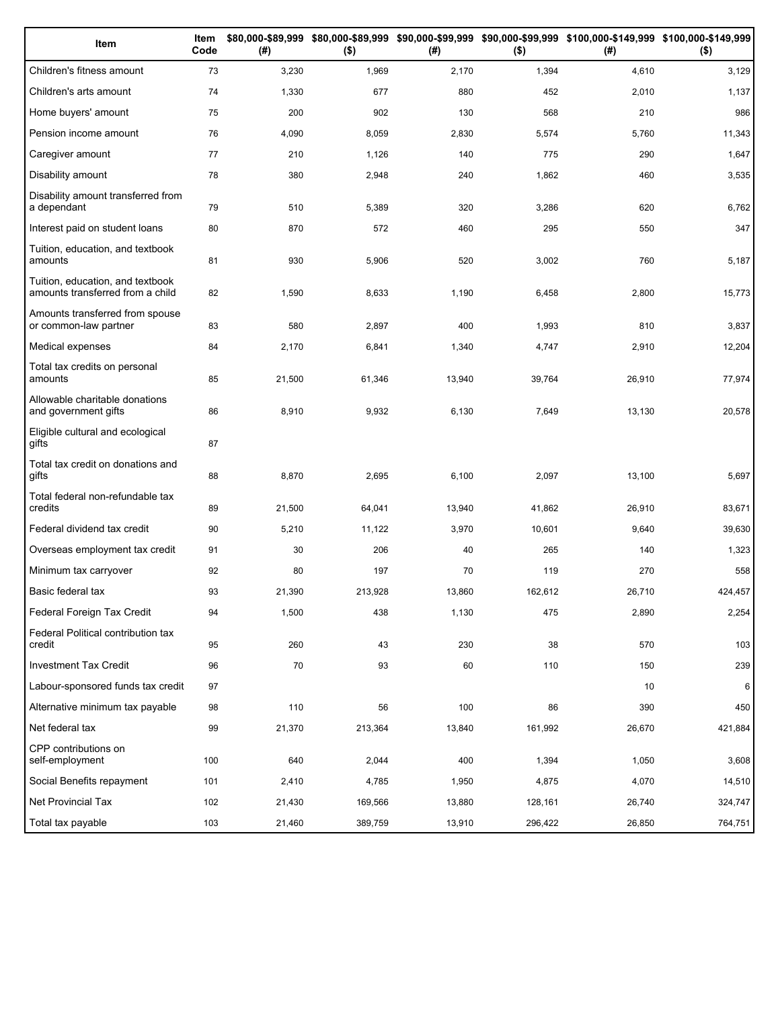| Item                                                                 | Item<br>Code | (# )   | $($ \$) | (#)    | $($ \$) | \$80,000-\$89,999 \$80,000-\$89,999 \$90,000-\$99,999 \$90,000-\$99,999 \$100,000-\$149,999 \$100,000-\$149,999<br>(#) | $($ \$) |
|----------------------------------------------------------------------|--------------|--------|---------|--------|---------|------------------------------------------------------------------------------------------------------------------------|---------|
| Children's fitness amount                                            | 73           | 3,230  | 1,969   | 2,170  | 1,394   | 4,610                                                                                                                  | 3,129   |
| Children's arts amount                                               | 74           | 1,330  | 677     | 880    | 452     | 2,010                                                                                                                  | 1,137   |
| Home buyers' amount                                                  | 75           | 200    | 902     | 130    | 568     | 210                                                                                                                    | 986     |
| Pension income amount                                                | 76           | 4,090  | 8,059   | 2,830  | 5,574   | 5,760                                                                                                                  | 11,343  |
| Caregiver amount                                                     | 77           | 210    | 1,126   | 140    | 775     | 290                                                                                                                    | 1,647   |
| Disability amount                                                    | 78           | 380    | 2,948   | 240    | 1,862   | 460                                                                                                                    | 3,535   |
| Disability amount transferred from<br>a dependant                    | 79           | 510    | 5,389   | 320    | 3,286   | 620                                                                                                                    | 6,762   |
| Interest paid on student loans                                       | 80           | 870    | 572     | 460    | 295     | 550                                                                                                                    | 347     |
| Tuition, education, and textbook<br>amounts                          | 81           | 930    | 5,906   | 520    | 3,002   | 760                                                                                                                    | 5,187   |
| Tuition, education, and textbook<br>amounts transferred from a child | 82           | 1,590  | 8,633   | 1,190  | 6,458   | 2,800                                                                                                                  | 15,773  |
| Amounts transferred from spouse<br>or common-law partner             | 83           | 580    | 2,897   | 400    | 1,993   | 810                                                                                                                    | 3,837   |
| Medical expenses                                                     | 84           | 2,170  | 6,841   | 1,340  | 4,747   | 2,910                                                                                                                  | 12,204  |
| Total tax credits on personal<br>amounts                             | 85           | 21,500 | 61,346  | 13,940 | 39,764  | 26,910                                                                                                                 | 77,974  |
| Allowable charitable donations<br>and government gifts               | 86           | 8,910  | 9,932   | 6,130  | 7,649   | 13,130                                                                                                                 | 20,578  |
| Eligible cultural and ecological<br>gifts                            | 87           |        |         |        |         |                                                                                                                        |         |
| Total tax credit on donations and<br>gifts                           | 88           | 8,870  | 2,695   | 6,100  | 2,097   | 13,100                                                                                                                 | 5,697   |
| Total federal non-refundable tax<br>credits                          | 89           | 21,500 | 64,041  | 13,940 | 41,862  | 26,910                                                                                                                 | 83,671  |
| Federal dividend tax credit                                          | 90           | 5,210  | 11,122  | 3,970  | 10,601  | 9,640                                                                                                                  | 39,630  |
| Overseas employment tax credit                                       | 91           | 30     | 206     | 40     | 265     | 140                                                                                                                    | 1,323   |
| Minimum tax carryover                                                | 92           | 80     | 197     | 70     | 119     | 270                                                                                                                    | 558     |
| Basic federal tax                                                    | 93           | 21,390 | 213,928 | 13,860 | 162,612 | 26,710                                                                                                                 | 424,457 |
| Federal Foreign Tax Credit                                           | 94           | 1,500  | 438     | 1,130  | 475     | 2,890                                                                                                                  | 2,254   |
| Federal Political contribution tax<br>credit                         | 95           | 260    | 43      | 230    | 38      | 570                                                                                                                    | 103     |
| <b>Investment Tax Credit</b>                                         | 96           | 70     | 93      | 60     | 110     | 150                                                                                                                    | 239     |
| Labour-sponsored funds tax credit                                    | 97           |        |         |        |         | 10                                                                                                                     | 6       |
| Alternative minimum tax payable                                      | 98           | 110    | 56      | 100    | 86      | 390                                                                                                                    | 450     |
| Net federal tax                                                      | 99           | 21,370 | 213,364 | 13,840 | 161,992 | 26,670                                                                                                                 | 421,884 |
| CPP contributions on<br>self-employment                              | 100          | 640    | 2,044   | 400    | 1,394   | 1,050                                                                                                                  | 3,608   |
| Social Benefits repayment                                            | 101          | 2,410  | 4,785   | 1,950  | 4,875   | 4,070                                                                                                                  | 14,510  |
| Net Provincial Tax                                                   | 102          | 21,430 | 169,566 | 13,880 | 128,161 | 26,740                                                                                                                 | 324,747 |
| Total tax payable                                                    | 103          | 21,460 | 389,759 | 13,910 | 296,422 | 26,850                                                                                                                 | 764,751 |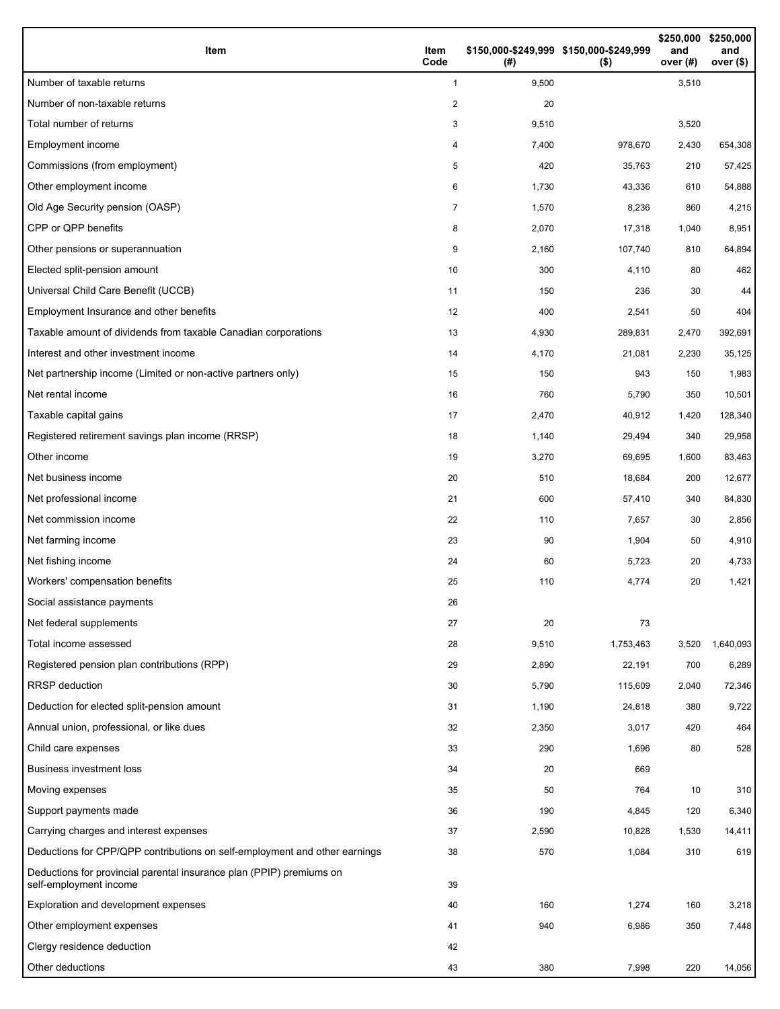| Item                                                                                           | Item<br>Code   | (#)   | \$150,000-\$249,999 \$150,000-\$249,999<br>$($ \$) | \$250,000<br>and<br>over (#) | \$250,000<br>and<br>over (\$) |
|------------------------------------------------------------------------------------------------|----------------|-------|----------------------------------------------------|------------------------------|-------------------------------|
| Number of taxable returns                                                                      | $\mathbf{1}$   | 9,500 |                                                    | 3,510                        |                               |
| Number of non-taxable returns                                                                  | $\overline{2}$ | 20    |                                                    |                              |                               |
| Total number of returns                                                                        | 3              | 9,510 |                                                    | 3,520                        |                               |
| Employment income                                                                              | 4              | 7,400 | 978,670                                            | 2,430                        | 654,308                       |
| Commissions (from employment)                                                                  | 5              | 420   | 35,763                                             | 210                          | 57,425                        |
| Other employment income                                                                        | 6              | 1,730 | 43,336                                             | 610                          | 54,888                        |
| Old Age Security pension (OASP)                                                                | 7              | 1,570 | 8,236                                              | 860                          | 4,215                         |
| CPP or QPP benefits                                                                            | 8              | 2,070 | 17,318                                             | 1,040                        | 8,951                         |
| Other pensions or superannuation                                                               | 9              | 2,160 | 107,740                                            | 810                          | 64,894                        |
| Elected split-pension amount                                                                   | 10             | 300   | 4,110                                              | 80                           | 462                           |
| Universal Child Care Benefit (UCCB)                                                            | 11             | 150   | 236                                                | 30                           | 44                            |
| Employment Insurance and other benefits                                                        | 12             | 400   | 2,541                                              | 50                           | 404                           |
| Taxable amount of dividends from taxable Canadian corporations                                 | 13             | 4,930 | 289,831                                            | 2,470                        | 392,691                       |
| Interest and other investment income                                                           | 14             | 4,170 | 21,081                                             | 2,230                        | 35,125                        |
| Net partnership income (Limited or non-active partners only)                                   | 15             | 150   | 943                                                | 150                          | 1,983                         |
| Net rental income                                                                              | 16             | 760   | 5,790                                              | 350                          | 10,501                        |
| Taxable capital gains                                                                          | 17             | 2,470 | 40,912                                             | 1,420                        | 128,340                       |
| Registered retirement savings plan income (RRSP)                                               | 18             | 1,140 | 29,494                                             | 340                          | 29,958                        |
| Other income                                                                                   | 19             | 3,270 | 69,695                                             | 1,600                        | 83,463                        |
| Net business income                                                                            | 20             | 510   | 18,684                                             | 200                          | 12,677                        |
| Net professional income                                                                        | 21             | 600   | 57,410                                             | 340                          | 84,830                        |
| Net commission income                                                                          | 22             | 110   | 7,657                                              | 30                           | 2,856                         |
| Net farming income                                                                             | 23             | 90    | 1,904                                              | 50                           | 4,910                         |
| Net fishing income                                                                             | 24             | 60    | 5,723                                              | 20                           | 4,733                         |
| Workers' compensation benefits                                                                 | 25             | 110   | 4,774                                              | 20                           | 1,421                         |
| Social assistance payments                                                                     | 26             |       |                                                    |                              |                               |
| Net federal supplements                                                                        | 27             | 20    | 73                                                 |                              |                               |
| Total income assessed                                                                          | 28             | 9,510 | 1,753,463                                          | 3,520                        | 1,640,093                     |
| Registered pension plan contributions (RPP)                                                    | 29             | 2,890 | 22,191                                             | 700                          | 6,289                         |
| <b>RRSP</b> deduction                                                                          | 30             | 5,790 | 115,609                                            | 2,040                        | 72,346                        |
| Deduction for elected split-pension amount                                                     | 31             | 1,190 | 24,818                                             | 380                          | 9,722                         |
| Annual union, professional, or like dues                                                       | 32             | 2,350 | 3,017                                              | 420                          | 464                           |
| Child care expenses                                                                            | 33             | 290   | 1,696                                              | 80                           | 528                           |
| <b>Business investment loss</b>                                                                | 34             | 20    | 669                                                |                              |                               |
| Moving expenses                                                                                | 35             | 50    | 764                                                | 10                           | 310                           |
| Support payments made                                                                          | 36             | 190   | 4,845                                              | 120                          | 6,340                         |
| Carrying charges and interest expenses                                                         | 37             | 2,590 | 10,828                                             | 1,530                        | 14,411                        |
| Deductions for CPP/QPP contributions on self-employment and other earnings                     | 38             | 570   | 1,084                                              | 310                          | 619                           |
| Deductions for provincial parental insurance plan (PPIP) premiums on<br>self-employment income | 39             |       |                                                    |                              |                               |
| Exploration and development expenses                                                           | 40             | 160   | 1,274                                              | 160                          | 3,218                         |
| Other employment expenses                                                                      | 41             | 940   | 6,986                                              | 350                          | 7,448                         |
| Clergy residence deduction                                                                     | 42             |       |                                                    |                              |                               |
| Other deductions                                                                               | 43             | 380   | 7,998                                              | 220                          | 14,056                        |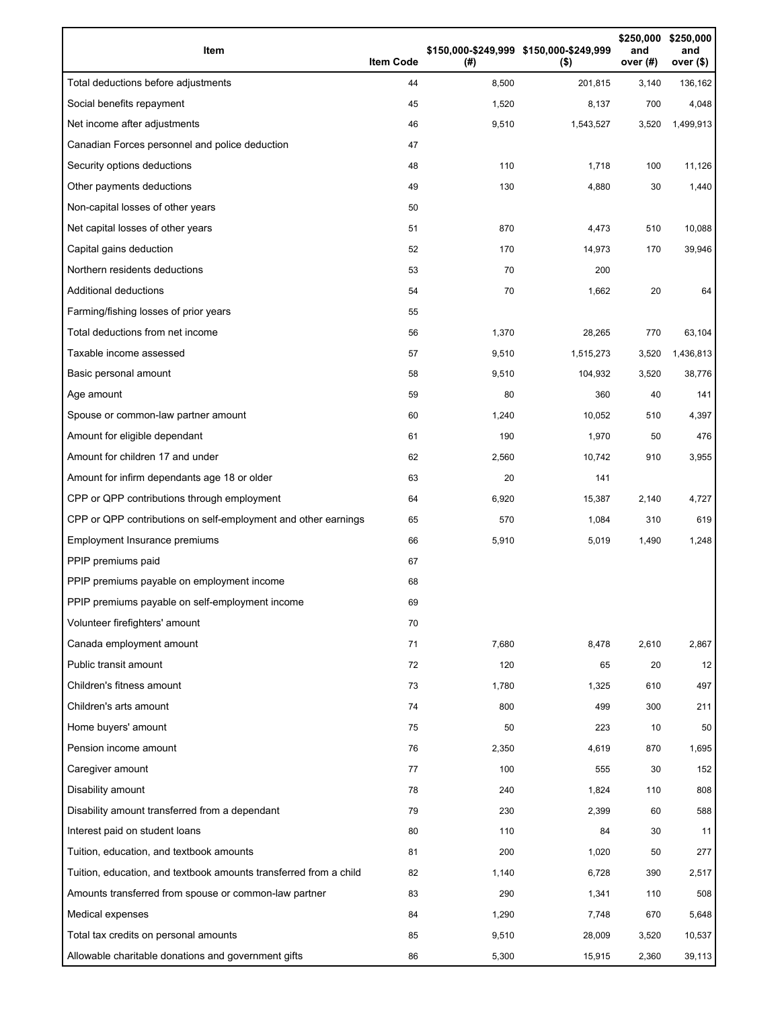| Item                                                              | <b>Item Code</b> | (# )  | \$150,000-\$249,999 \$150,000-\$249,999<br>$($ \$) | \$250,000<br>and<br>over (#) | \$250,000<br>and<br>over (\$) |
|-------------------------------------------------------------------|------------------|-------|----------------------------------------------------|------------------------------|-------------------------------|
| Total deductions before adjustments                               | 44               | 8,500 | 201,815                                            | 3,140                        | 136,162                       |
| Social benefits repayment                                         | 45               | 1,520 | 8,137                                              | 700                          | 4,048                         |
| Net income after adjustments                                      | 46               | 9,510 | 1,543,527                                          | 3,520                        | 1,499,913                     |
| Canadian Forces personnel and police deduction                    | 47               |       |                                                    |                              |                               |
| Security options deductions                                       | 48               | 110   | 1,718                                              | 100                          | 11,126                        |
| Other payments deductions                                         | 49               | 130   | 4,880                                              | 30                           | 1,440                         |
| Non-capital losses of other years                                 | 50               |       |                                                    |                              |                               |
| Net capital losses of other years                                 | 51               | 870   | 4,473                                              | 510                          | 10,088                        |
| Capital gains deduction                                           | 52               | 170   | 14,973                                             | 170                          | 39,946                        |
| Northern residents deductions                                     | 53               | 70    | 200                                                |                              |                               |
| Additional deductions                                             | 54               | 70    | 1,662                                              | 20                           | 64                            |
| Farming/fishing losses of prior years                             | 55               |       |                                                    |                              |                               |
| Total deductions from net income                                  | 56               | 1,370 | 28,265                                             | 770                          | 63,104                        |
| Taxable income assessed                                           | 57               | 9,510 | 1,515,273                                          | 3,520                        | 1,436,813                     |
| Basic personal amount                                             | 58               | 9,510 | 104,932                                            | 3,520                        | 38,776                        |
| Age amount                                                        | 59               | 80    | 360                                                | 40                           | 141                           |
| Spouse or common-law partner amount                               | 60               | 1,240 | 10,052                                             | 510                          | 4,397                         |
| Amount for eligible dependant                                     | 61               | 190   | 1,970                                              | 50                           | 476                           |
| Amount for children 17 and under                                  | 62               | 2,560 | 10,742                                             | 910                          | 3,955                         |
| Amount for infirm dependants age 18 or older                      | 63               | 20    | 141                                                |                              |                               |
| CPP or QPP contributions through employment                       | 64               | 6,920 | 15,387                                             | 2,140                        | 4,727                         |
| CPP or QPP contributions on self-employment and other earnings    | 65               | 570   | 1,084                                              | 310                          | 619                           |
| Employment Insurance premiums                                     | 66               | 5,910 | 5,019                                              | 1,490                        | 1,248                         |
| PPIP premiums paid                                                | 67               |       |                                                    |                              |                               |
| PPIP premiums payable on employment income                        | 68               |       |                                                    |                              |                               |
| PPIP premiums payable on self-employment income                   | 69               |       |                                                    |                              |                               |
| Volunteer firefighters' amount                                    | 70               |       |                                                    |                              |                               |
| Canada employment amount                                          | 71               | 7,680 | 8,478                                              | 2,610                        | 2,867                         |
| Public transit amount                                             | 72               | 120   | 65                                                 | 20                           | 12                            |
| Children's fitness amount                                         | 73               | 1,780 | 1,325                                              | 610                          | 497                           |
| Children's arts amount                                            | 74               | 800   | 499                                                | 300                          | 211                           |
| Home buyers' amount                                               | 75               | 50    | 223                                                | 10                           | 50                            |
| Pension income amount                                             | 76               | 2,350 | 4,619                                              | 870                          | 1,695                         |
| Caregiver amount                                                  | 77               | 100   | 555                                                | 30                           | 152                           |
| Disability amount                                                 | 78               | 240   | 1,824                                              | 110                          | 808                           |
| Disability amount transferred from a dependant                    | 79               | 230   | 2,399                                              | 60                           | 588                           |
| Interest paid on student loans                                    | 80               | 110   | 84                                                 | 30                           | 11                            |
| Tuition, education, and textbook amounts                          | 81               | 200   | 1,020                                              | 50                           | 277                           |
| Tuition, education, and textbook amounts transferred from a child | 82               | 1,140 | 6,728                                              | 390                          | 2,517                         |
| Amounts transferred from spouse or common-law partner             | 83               | 290   | 1,341                                              | 110                          | 508                           |
| Medical expenses                                                  | 84               | 1,290 | 7,748                                              | 670                          | 5,648                         |
| Total tax credits on personal amounts                             | 85               | 9,510 | 28,009                                             | 3,520                        | 10,537                        |
| Allowable charitable donations and government gifts               | 86               | 5,300 | 15,915                                             | 2,360                        | 39,113                        |